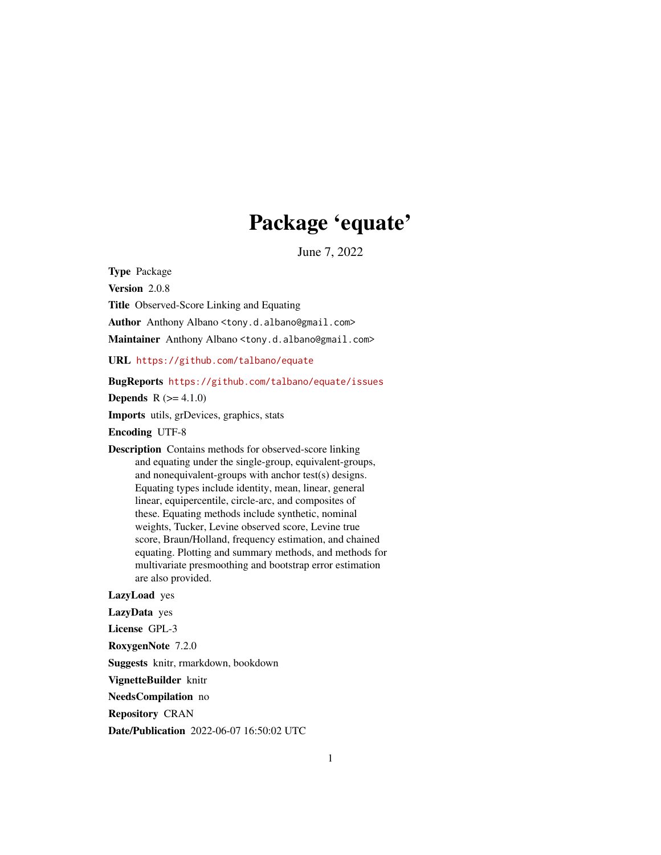## Package 'equate'

June 7, 2022

<span id="page-0-0"></span>Type Package

Version 2.0.8

Title Observed-Score Linking and Equating

Author Anthony Albano <tony.d.albano@gmail.com>

Maintainer Anthony Albano <tony.d.albano@gmail.com>

URL <https://github.com/talbano/equate>

#### BugReports <https://github.com/talbano/equate/issues>

**Depends** R  $(>= 4.1.0)$ 

Imports utils, grDevices, graphics, stats

Encoding UTF-8

Description Contains methods for observed-score linking and equating under the single-group, equivalent-groups, and nonequivalent-groups with anchor test(s) designs. Equating types include identity, mean, linear, general linear, equipercentile, circle-arc, and composites of these. Equating methods include synthetic, nominal weights, Tucker, Levine observed score, Levine true score, Braun/Holland, frequency estimation, and chained equating. Plotting and summary methods, and methods for multivariate presmoothing and bootstrap error estimation are also provided.

#### LazyLoad yes

LazyData yes

License GPL-3

RoxygenNote 7.2.0

Suggests knitr, rmarkdown, bookdown

VignetteBuilder knitr

NeedsCompilation no

Repository CRAN

Date/Publication 2022-06-07 16:50:02 UTC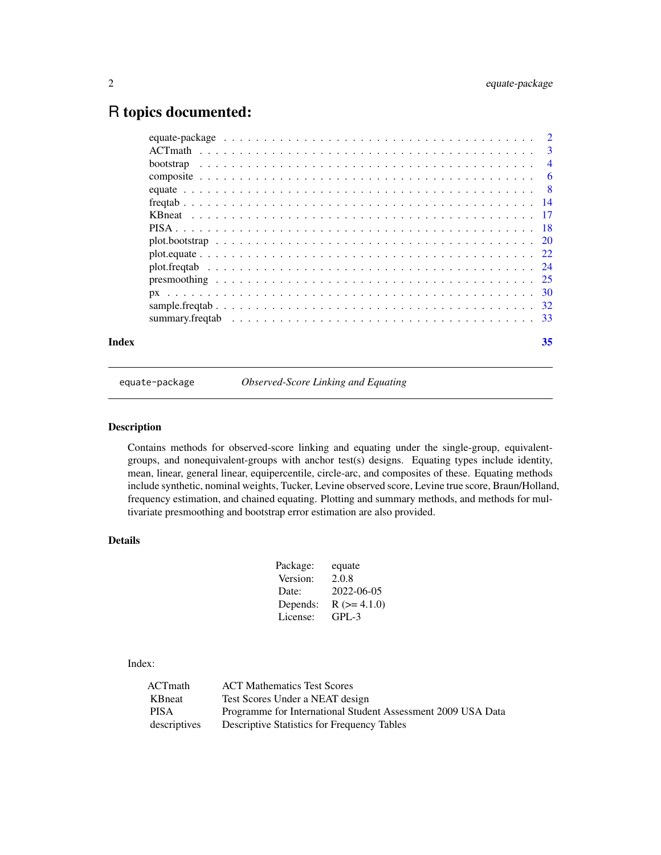### <span id="page-1-0"></span>R topics documented:

| Index | 35 |
|-------|----|

equate-package *Observed-Score Linking and Equating*

#### Description

Contains methods for observed-score linking and equating under the single-group, equivalentgroups, and nonequivalent-groups with anchor test(s) designs. Equating types include identity, mean, linear, general linear, equipercentile, circle-arc, and composites of these. Equating methods include synthetic, nominal weights, Tucker, Levine observed score, Levine true score, Braun/Holland, frequency estimation, and chained equating. Plotting and summary methods, and methods for multivariate presmoothing and bootstrap error estimation are also provided.

#### Details

| Package: | equate             |
|----------|--------------------|
| Version: | 2.0.8              |
| Date:    | 2022-06-05         |
| Depends: | $R$ ( $>= 4.1.0$ ) |
| License: | GPL-3              |

#### Index:

| ACTmath      | <b>ACT</b> Mathematics Test Scores                           |
|--------------|--------------------------------------------------------------|
| KBneat       | Test Scores Under a NEAT design                              |
| <b>PISA</b>  | Programme for International Student Assessment 2009 USA Data |
| descriptives | <b>Descriptive Statistics for Frequency Tables</b>           |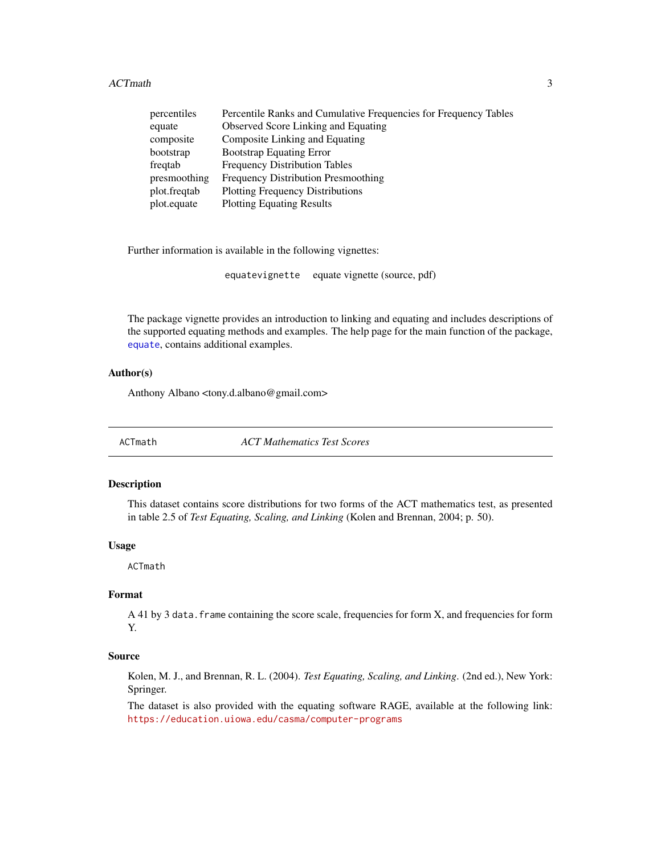<span id="page-2-0"></span>

| percentiles  | Percentile Ranks and Cumulative Frequencies for Frequency Tables |
|--------------|------------------------------------------------------------------|
| equate       | <b>Observed Score Linking and Equating</b>                       |
| composite    | Composite Linking and Equating                                   |
| bootstrap    | <b>Bootstrap Equating Error</b>                                  |
| freqtab      | <b>Frequency Distribution Tables</b>                             |
| presmoothing | Frequency Distribution Presmoothing                              |
| plot.freqtab | <b>Plotting Frequency Distributions</b>                          |
| plot.equate  | <b>Plotting Equating Results</b>                                 |

Further information is available in the following vignettes:

equatevignette equate vignette (source, pdf)

The package vignette provides an introduction to linking and equating and includes descriptions of the supported equating methods and examples. The help page for the main function of the package, [equate](#page-7-1), contains additional examples.

#### Author(s)

Anthony Albano <tony.d.albano@gmail.com>

ACTmath *ACT Mathematics Test Scores*

#### Description

This dataset contains score distributions for two forms of the ACT mathematics test, as presented in table 2.5 of *Test Equating, Scaling, and Linking* (Kolen and Brennan, 2004; p. 50).

#### Usage

ACTmath

#### Format

A 41 by 3 data. frame containing the score scale, frequencies for form X, and frequencies for form Y.

#### Source

Kolen, M. J., and Brennan, R. L. (2004). *Test Equating, Scaling, and Linking*. (2nd ed.), New York: Springer.

The dataset is also provided with the equating software RAGE, available at the following link: <https://education.uiowa.edu/casma/computer-programs>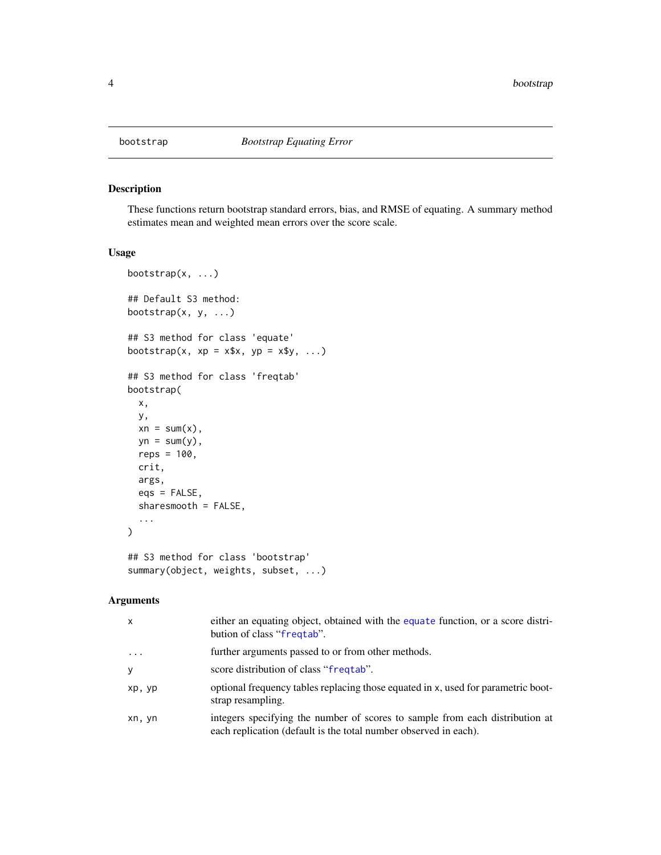<span id="page-3-1"></span><span id="page-3-0"></span>

#### Description

These functions return bootstrap standard errors, bias, and RMSE of equating. A summary method estimates mean and weighted mean errors over the score scale.

#### Usage

```
bootstrap(x, \ldots)## Default S3 method:
bootstrap(x, y, ...)
## S3 method for class 'equate'
bootstrap(x, xp = x*x, yp = x*y, ...)
## S3 method for class 'freqtab'
bootstrap(
 x,
 y,
 xn = sum(x),
 yn = sum(y),
 reps = 100,
  crit,
  args,
  eqs = FALSE,sharesmooth = FALSE,
  ...
)
## S3 method for class 'bootstrap'
summary(object, weights, subset, ...)
```

| X         | either an equating object, obtained with the equate function, or a score distri-<br>bution of class "freqtab".                                   |
|-----------|--------------------------------------------------------------------------------------------------------------------------------------------------|
| $\ddotsc$ | further arguments passed to or from other methods.                                                                                               |
| y         | score distribution of class "frequal".                                                                                                           |
| xp, yp    | optional frequency tables replacing those equated in x, used for parametric boot-<br>strap resampling.                                           |
| xn, yn    | integers specifying the number of scores to sample from each distribution at<br>each replication (default is the total number observed in each). |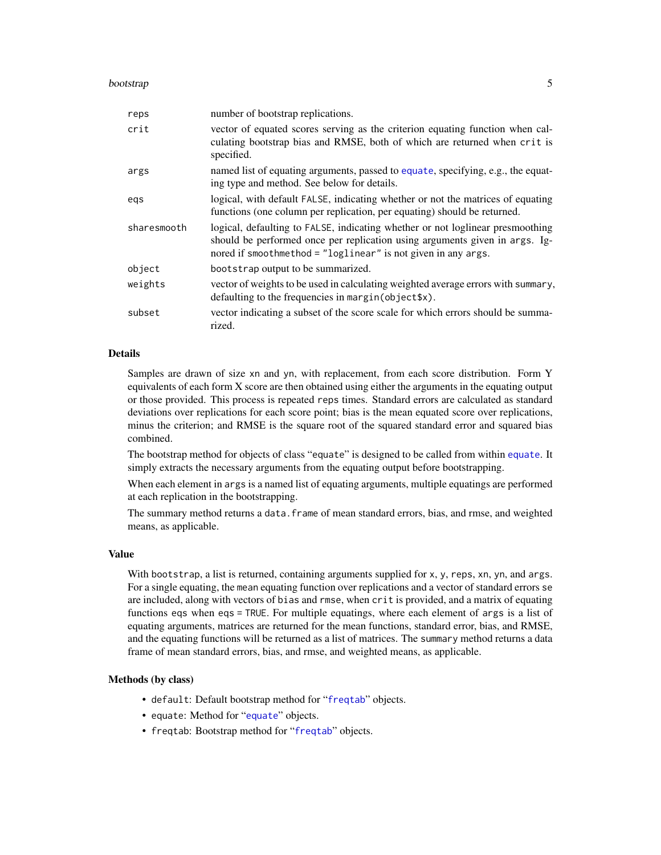#### <span id="page-4-0"></span>bootstrap 500 to 100 million to 100 million to 100 million to 100 million to 100 million to 100 million to 100

| reps        | number of bootstrap replications.                                                                                                                                                                                              |
|-------------|--------------------------------------------------------------------------------------------------------------------------------------------------------------------------------------------------------------------------------|
| crit        | vector of equated scores serving as the criterion equating function when cal-<br>culating bootstrap bias and RMSE, both of which are returned when crit is<br>specified.                                                       |
| args        | named list of equating arguments, passed to equate, specifying, e.g., the equat-<br>ing type and method. See below for details.                                                                                                |
| egs         | logical, with default FALSE, indicating whether or not the matrices of equating<br>functions (one column per replication, per equating) should be returned.                                                                    |
| sharesmooth | logical, defaulting to FALSE, indicating whether or not loglinear presmoothing<br>should be performed once per replication using arguments given in args. Ig-<br>nored if smoothmethod = "loglinear" is not given in any args. |
| object      | bootstrap output to be summarized.                                                                                                                                                                                             |
| weights     | vector of weights to be used in calculating weighted average errors with summary,<br>defaulting to the frequencies in margin (object \$x).                                                                                     |
| subset      | vector indicating a subset of the score scale for which errors should be summa-<br>rized.                                                                                                                                      |

#### Details

Samples are drawn of size xn and yn, with replacement, from each score distribution. Form Y equivalents of each form X score are then obtained using either the arguments in the equating output or those provided. This process is repeated reps times. Standard errors are calculated as standard deviations over replications for each score point; bias is the mean equated score over replications, minus the criterion; and RMSE is the square root of the squared standard error and squared bias combined.

The bootstrap method for objects of class "equate" is designed to be called from within [equate](#page-7-1). It simply extracts the necessary arguments from the equating output before bootstrapping.

When each element in args is a named list of equating arguments, multiple equatings are performed at each replication in the bootstrapping.

The summary method returns a data.frame of mean standard errors, bias, and rmse, and weighted means, as applicable.

#### Value

With bootstrap, a list is returned, containing arguments supplied for x, y, reps, xn, yn, and args. For a single equating, the mean equating function over replications and a vector of standard errors se are included, along with vectors of bias and rmse, when crit is provided, and a matrix of equating functions eqs when eqs = TRUE. For multiple equatings, where each element of args is a list of equating arguments, matrices are returned for the mean functions, standard error, bias, and RMSE, and the equating functions will be returned as a list of matrices. The summary method returns a data frame of mean standard errors, bias, and rmse, and weighted means, as applicable.

#### Methods (by class)

- default: Default bootstrap method for "[freqtab](#page-13-1)" objects.
- equate: Method for "[equate](#page-7-1)" objects.
- freqtab: Bootstrap method for "[freqtab](#page-13-1)" objects.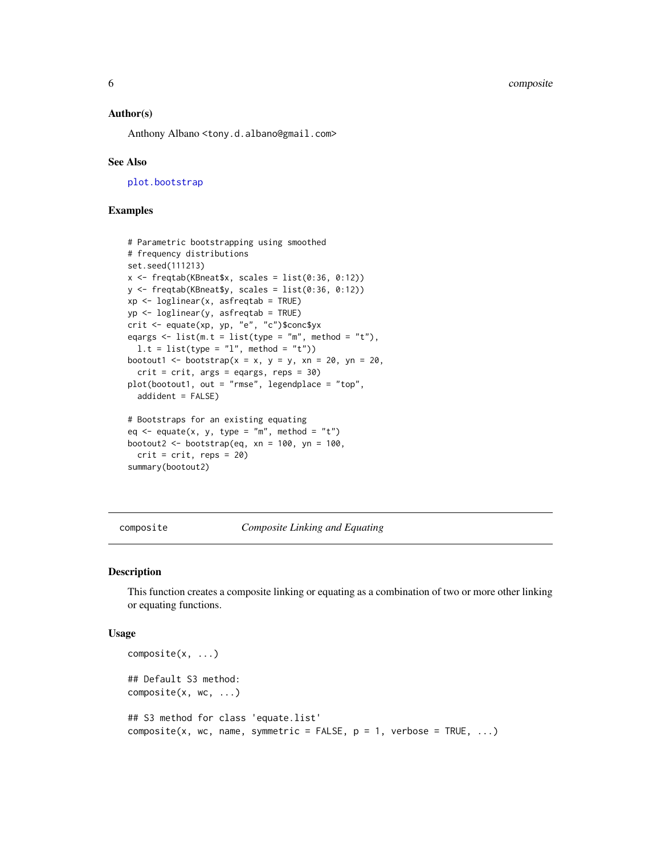<span id="page-5-0"></span>6 composite

#### Author(s)

Anthony Albano <tony.d.albano@gmail.com>

#### See Also

[plot.bootstrap](#page-19-1)

#### Examples

```
# Parametric bootstrapping using smoothed
# frequency distributions
set.seed(111213)
x \leftarrow freqtab(KBneat$x, scales = list(0:36, 0:12))
y <- freqtab(KBneat$y, scales = list(0:36, 0:12))
xp \leftarrow loglinear(x, asfreqtab = TRUE)
yp <- loglinear(y, asfreqtab = TRUE)
crit <- equate(xp, yp, "e", "c")$conc$yx
eqargs \le list(m.t = list(type = "m", method = "t"),
  1.t = list(type = "l", method = "t"))
bootout1 <- bootstrap(x = x, y = y, xn = 20, yn = 20,
  crit = crit, args = eqargs, reps = 30)
plot(bootout1, out = "rmse", legendplace = "top",
  addident = FALSE)
# Bootstraps for an existing equating
eq <- equate(x, y, type = "m", method = "t")
bootout2 <- bootstrap(eq, xn = 100, yn = 100,
  crit = crit, reps = 20)
```
summary(bootout2)

composite *Composite Linking and Equating*

#### Description

This function creates a composite linking or equating as a combination of two or more other linking or equating functions.

#### Usage

```
composite(x, ...)
## Default S3 method:
composite(x, wc, ...)
## S3 method for class 'equate.list'
composite(x, wc, name, symmetric = FALSE, p = 1, verbose = TRUE, ...)
```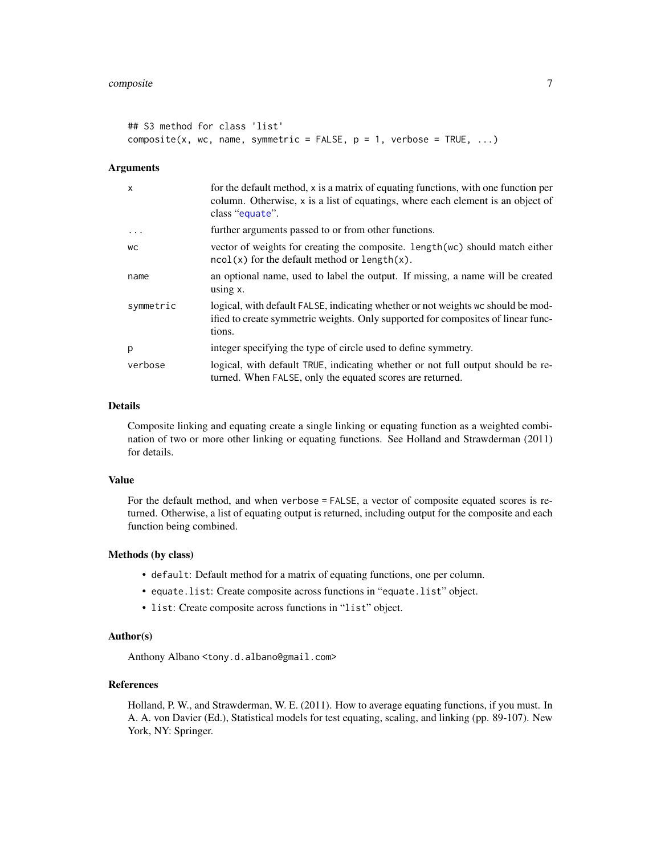#### <span id="page-6-0"></span>composite 7

```
## S3 method for class 'list'
composite(x, wc, name, symmetric = FALSE, p = 1, verbose = TRUE, ...)
```
#### Arguments

| $\mathsf{x}$ | for the default method, x is a matrix of equating functions, with one function per<br>column. Otherwise, x is a list of equatings, where each element is an object of<br>class "equate". |
|--------------|------------------------------------------------------------------------------------------------------------------------------------------------------------------------------------------|
| $\ddotsc$    | further arguments passed to or from other functions.                                                                                                                                     |
| WC           | vector of weights for creating the composite. Length (wc) should match either<br>$ncol(x)$ for the default method or length $(x)$ .                                                      |
| name         | an optional name, used to label the output. If missing, a name will be created<br>using $x$ .                                                                                            |
| symmetric    | logical, with default FALSE, indicating whether or not weights wc should be mod-<br>ified to create symmetric weights. Only supported for composites of linear func-<br>tions.           |
| p            | integer specifying the type of circle used to define symmetry.                                                                                                                           |
| verbose      | logical, with default TRUE, indicating whether or not full output should be re-<br>turned. When FALSE, only the equated scores are returned.                                             |

#### Details

Composite linking and equating create a single linking or equating function as a weighted combination of two or more other linking or equating functions. See Holland and Strawderman (2011) for details.

#### Value

For the default method, and when verbose = FALSE, a vector of composite equated scores is returned. Otherwise, a list of equating output is returned, including output for the composite and each function being combined.

#### Methods (by class)

- default: Default method for a matrix of equating functions, one per column.
- equate.list: Create composite across functions in "equate.list" object.
- list: Create composite across functions in "list" object.

#### Author(s)

Anthony Albano <tony.d.albano@gmail.com>

#### References

Holland, P. W., and Strawderman, W. E. (2011). How to average equating functions, if you must. In A. A. von Davier (Ed.), Statistical models for test equating, scaling, and linking (pp. 89-107). New York, NY: Springer.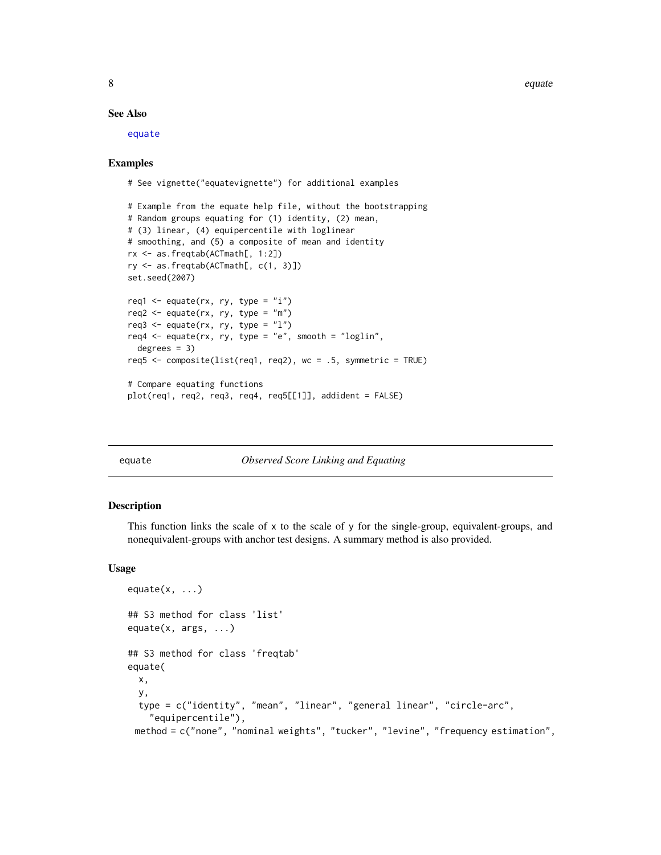8 equate the contract of the contract of the contract of the contract of the contract of the contract of the contract of the contract of the contract of the contract of the contract of the contract of the contract of the c

#### See Also

[equate](#page-7-1)

#### Examples

# See vignette("equatevignette") for additional examples

```
# Example from the equate help file, without the bootstrapping
# Random groups equating for (1) identity, (2) mean,
# (3) linear, (4) equipercentile with loglinear
# smoothing, and (5) a composite of mean and identity
rx <- as.freqtab(ACTmath[, 1:2])
ry <- as.freqtab(ACTmath[, c(1, 3)])
set.seed(2007)
req1 <- equate(rx, ry, type = "i")req2 \leq equate(rx, ry, type = "m")
req3 <- equate(rx, ry, type = "1")
req4 <- equate(rx, ry, type = "e", smooth = "loglin",
 degrees = 3)
req5 <- composite(list(req1, req2), wc = .5, symmetric = TRUE)
# Compare equating functions
plot(req1, req2, req3, req4, req5[[1]], addident = FALSE)
```
<span id="page-7-1"></span>

#### **Observed Score Linking and Equating**

#### <span id="page-7-2"></span>Description

This function links the scale of x to the scale of y for the single-group, equivalent-groups, and nonequivalent-groups with anchor test designs. A summary method is also provided.

#### Usage

```
equate(x, \ldots)## S3 method for class 'list'
equate(x, args, ...)
## S3 method for class 'freqtab'
equate(
  x,
 y,
  type = c("identity", "mean", "linear", "general linear", "circle-arc",
    "equipercentile"),
 method = c("none", "nominal weights", "tucker", "levine", "frequency estimation",
```
<span id="page-7-0"></span>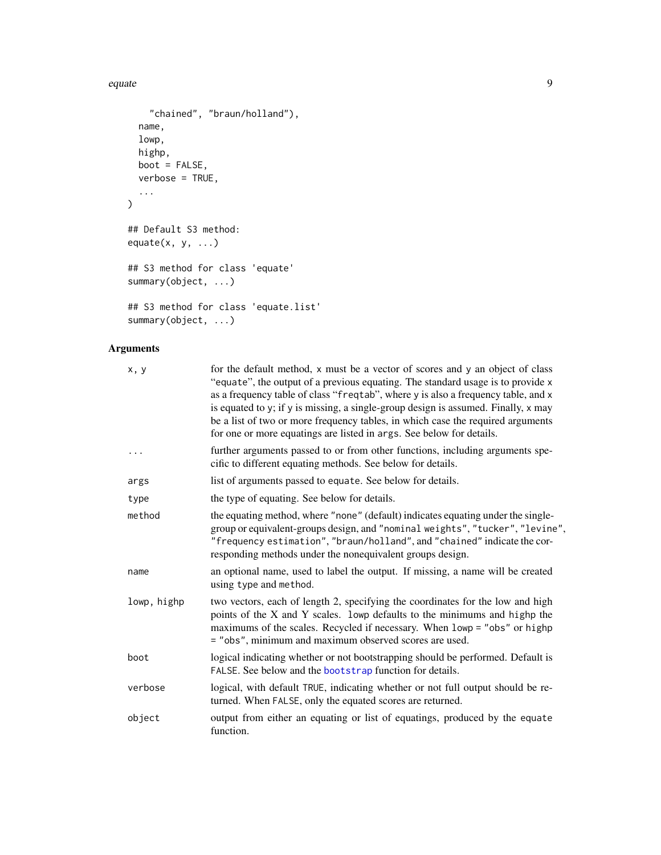```
"chained", "braun/holland"),
 name,
 lowp,
 highp,
 boot = FALSE,verbose = TRUE,
  ...
\mathcal{L}## Default S3 method:
equate(x, y, ...)## S3 method for class 'equate'
summary(object, ...)
## S3 method for class 'equate.list'
```
### summary(object, ...)

| x, y        | for the default method, x must be a vector of scores and y an object of class<br>"equate", the output of a previous equating. The standard usage is to provide x<br>as a frequency table of class "freqtab", where y is also a frequency table, and x<br>is equated to y; if y is missing, a single-group design is assumed. Finally, x may<br>be a list of two or more frequency tables, in which case the required arguments<br>for one or more equatings are listed in args. See below for details. |
|-------------|--------------------------------------------------------------------------------------------------------------------------------------------------------------------------------------------------------------------------------------------------------------------------------------------------------------------------------------------------------------------------------------------------------------------------------------------------------------------------------------------------------|
| .           | further arguments passed to or from other functions, including arguments spe-<br>cific to different equating methods. See below for details.                                                                                                                                                                                                                                                                                                                                                           |
| args        | list of arguments passed to equate. See below for details.                                                                                                                                                                                                                                                                                                                                                                                                                                             |
| type        | the type of equating. See below for details.                                                                                                                                                                                                                                                                                                                                                                                                                                                           |
| method      | the equating method, where "none" (default) indicates equating under the single-<br>group or equivalent-groups design, and "nominal weights", "tucker", "levine",<br>"frequency estimation", "braun/holland", and "chained" indicate the cor-<br>responding methods under the nonequivalent groups design.                                                                                                                                                                                             |
| name        | an optional name, used to label the output. If missing, a name will be created<br>using type and method.                                                                                                                                                                                                                                                                                                                                                                                               |
| lowp, highp | two vectors, each of length 2, specifying the coordinates for the low and high<br>points of the X and Y scales. lowp defaults to the minimums and highp the<br>maximums of the scales. Recycled if necessary. When lowp = "obs" or highp<br>= "obs", minimum and maximum observed scores are used.                                                                                                                                                                                                     |
| boot        | logical indicating whether or not bootstrapping should be performed. Default is<br>FALSE. See below and the <b>bootstrap</b> function for details.                                                                                                                                                                                                                                                                                                                                                     |
| verbose     | logical, with default TRUE, indicating whether or not full output should be re-<br>turned. When FALSE, only the equated scores are returned.                                                                                                                                                                                                                                                                                                                                                           |
| object      | output from either an equating or list of equatings, produced by the equate<br>function.                                                                                                                                                                                                                                                                                                                                                                                                               |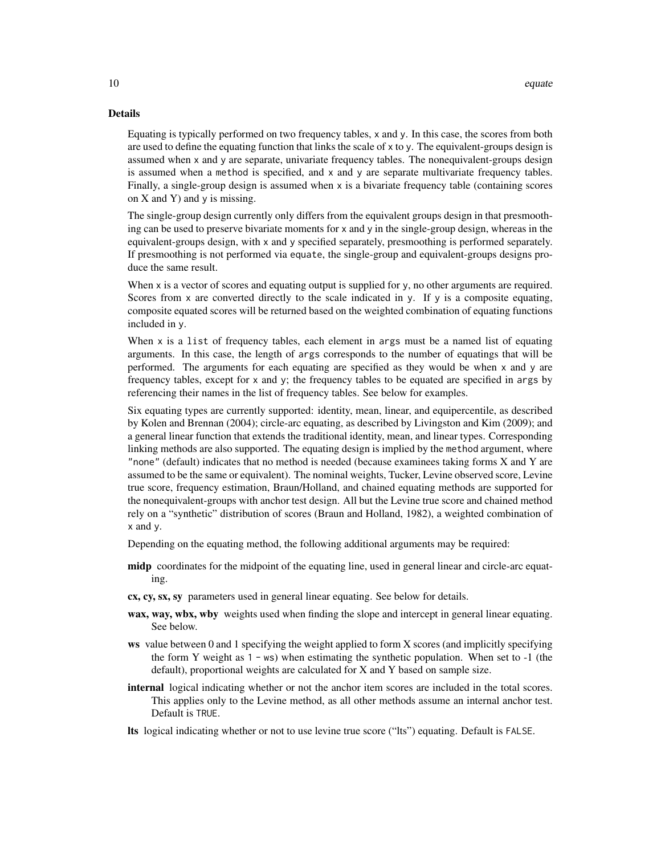#### Details

Equating is typically performed on two frequency tables, x and y. In this case, the scores from both are used to define the equating function that links the scale of x to y. The equivalent-groups design is assumed when x and y are separate, univariate frequency tables. The nonequivalent-groups design is assumed when a method is specified, and x and y are separate multivariate frequency tables. Finally, a single-group design is assumed when x is a bivariate frequency table (containing scores on  $X$  and  $Y$ ) and  $y$  is missing.

The single-group design currently only differs from the equivalent groups design in that presmoothing can be used to preserve bivariate moments for x and y in the single-group design, whereas in the equivalent-groups design, with x and y specified separately, presmoothing is performed separately. If presmoothing is not performed via equate, the single-group and equivalent-groups designs produce the same result.

When x is a vector of scores and equating output is supplied for y, no other arguments are required. Scores from  $x$  are converted directly to the scale indicated in  $y$ . If  $y$  is a composite equating, composite equated scores will be returned based on the weighted combination of equating functions included in y.

When x is a list of frequency tables, each element in args must be a named list of equating arguments. In this case, the length of args corresponds to the number of equatings that will be performed. The arguments for each equating are specified as they would be when x and y are frequency tables, except for x and y; the frequency tables to be equated are specified in args by referencing their names in the list of frequency tables. See below for examples.

Six equating types are currently supported: identity, mean, linear, and equipercentile, as described by Kolen and Brennan (2004); circle-arc equating, as described by Livingston and Kim (2009); and a general linear function that extends the traditional identity, mean, and linear types. Corresponding linking methods are also supported. The equating design is implied by the method argument, where "none" (default) indicates that no method is needed (because examinees taking forms  $X$  and  $Y$  are assumed to be the same or equivalent). The nominal weights, Tucker, Levine observed score, Levine true score, frequency estimation, Braun/Holland, and chained equating methods are supported for the nonequivalent-groups with anchor test design. All but the Levine true score and chained method rely on a "synthetic" distribution of scores (Braun and Holland, 1982), a weighted combination of x and y.

Depending on the equating method, the following additional arguments may be required:

- midp coordinates for the midpoint of the equating line, used in general linear and circle-arc equating.
- cx, cy, sx, sy parameters used in general linear equating. See below for details.
- wax, way, wbx, wby weights used when finding the slope and intercept in general linear equating. See below.
- ws value between 0 and 1 specifying the weight applied to form X scores (and implicitly specifying the form Y weight as  $1 - ws$ ) when estimating the synthetic population. When set to  $-1$  (the default), proportional weights are calculated for X and Y based on sample size.
- internal logical indicating whether or not the anchor item scores are included in the total scores. This applies only to the Levine method, as all other methods assume an internal anchor test. Default is TRUE.
- lts logical indicating whether or not to use levine true score ("lts") equating. Default is FALSE.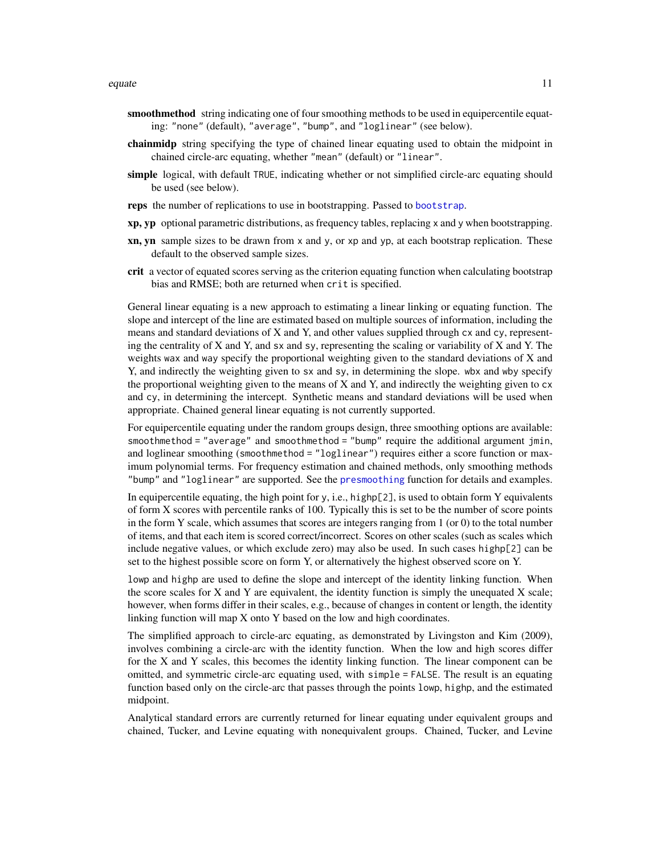- <span id="page-10-0"></span>smoothmethod string indicating one of four smoothing methods to be used in equipercentile equating: "none" (default), "average", "bump", and "loglinear" (see below).
- chainmidp string specifying the type of chained linear equating used to obtain the midpoint in chained circle-arc equating, whether "mean" (default) or "linear".
- simple logical, with default TRUE, indicating whether or not simplified circle-arc equating should be used (see below).
- reps the number of replications to use in bootstrapping. Passed to [bootstrap](#page-3-1).
- xp, yp optional parametric distributions, as frequency tables, replacing x and y when bootstrapping.
- xn, yn sample sizes to be drawn from x and y, or xp and yp, at each bootstrap replication. These default to the observed sample sizes.
- crit a vector of equated scores serving as the criterion equating function when calculating bootstrap bias and RMSE; both are returned when crit is specified.

General linear equating is a new approach to estimating a linear linking or equating function. The slope and intercept of the line are estimated based on multiple sources of information, including the means and standard deviations of X and Y, and other values supplied through cx and cy, representing the centrality of  $X$  and  $Y$ , and  $S$  and  $S$ , representing the scaling or variability of  $X$  and  $Y$ . The weights wax and way specify the proportional weighting given to the standard deviations of X and Y, and indirectly the weighting given to sx and sy, in determining the slope. wbx and wby specify the proportional weighting given to the means of X and Y, and indirectly the weighting given to  $cx$ and cy, in determining the intercept. Synthetic means and standard deviations will be used when appropriate. Chained general linear equating is not currently supported.

For equipercentile equating under the random groups design, three smoothing options are available: smoothmethod = "average" and smoothmethod = "bump" require the additional argument jmin, and loglinear smoothing (smoothmethod = "loglinear") requires either a score function or maximum polynomial terms. For frequency estimation and chained methods, only smoothing methods "bump" and "loglinear" are supported. See the [presmoothing](#page-24-1) function for details and examples.

In equipercentile equating, the high point for y, i.e., highp[2], is used to obtain form Y equivalents of form X scores with percentile ranks of 100. Typically this is set to be the number of score points in the form Y scale, which assumes that scores are integers ranging from  $1$  (or  $0$ ) to the total number of items, and that each item is scored correct/incorrect. Scores on other scales (such as scales which include negative values, or which exclude zero) may also be used. In such cases highp[2] can be set to the highest possible score on form Y, or alternatively the highest observed score on Y.

lowp and highp are used to define the slope and intercept of the identity linking function. When the score scales for  $X$  and  $Y$  are equivalent, the identity function is simply the unequated  $X$  scale; however, when forms differ in their scales, e.g., because of changes in content or length, the identity linking function will map X onto Y based on the low and high coordinates.

The simplified approach to circle-arc equating, as demonstrated by Livingston and Kim (2009), involves combining a circle-arc with the identity function. When the low and high scores differ for the X and Y scales, this becomes the identity linking function. The linear component can be omitted, and symmetric circle-arc equating used, with simple = FALSE. The result is an equating function based only on the circle-arc that passes through the points lowp, highp, and the estimated midpoint.

Analytical standard errors are currently returned for linear equating under equivalent groups and chained, Tucker, and Levine equating with nonequivalent groups. Chained, Tucker, and Levine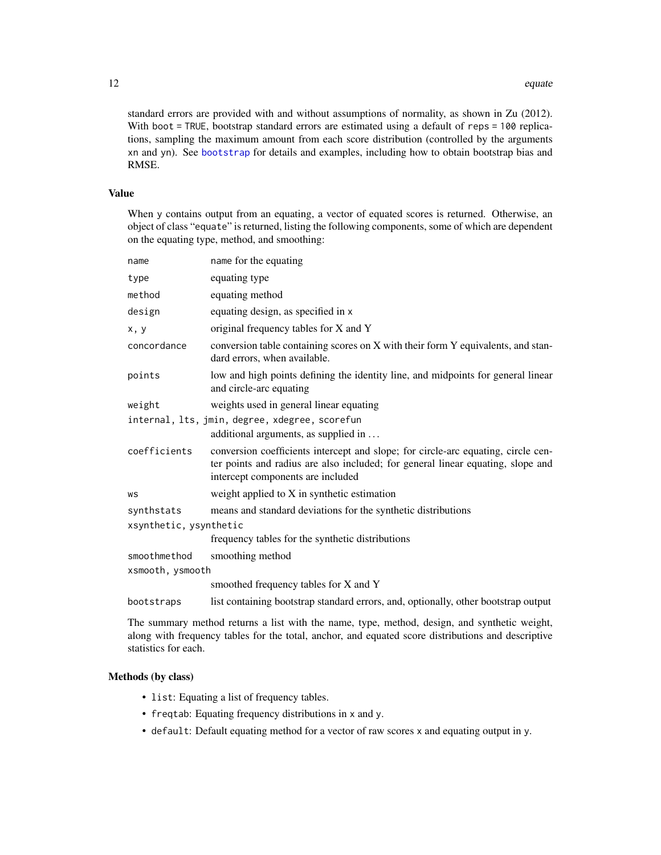standard errors are provided with and without assumptions of normality, as shown in Zu (2012). With boot = TRUE, bootstrap standard errors are estimated using a default of reps = 100 replications, sampling the maximum amount from each score distribution (controlled by the arguments xn and yn). See [bootstrap](#page-3-1) for details and examples, including how to obtain bootstrap bias and RMSE.

#### Value

When y contains output from an equating, a vector of equated scores is returned. Otherwise, an object of class "equate" is returned, listing the following components, some of which are dependent on the equating type, method, and smoothing:

| name                   | name for the equating                                                                                                                                                                                     |
|------------------------|-----------------------------------------------------------------------------------------------------------------------------------------------------------------------------------------------------------|
| type                   | equating type                                                                                                                                                                                             |
| method                 | equating method                                                                                                                                                                                           |
| design                 | equating design, as specified in x                                                                                                                                                                        |
| x, y                   | original frequency tables for X and Y                                                                                                                                                                     |
| concordance            | conversion table containing scores on X with their form Y equivalents, and stan-<br>dard errors, when available.                                                                                          |
| points                 | low and high points defining the identity line, and midpoints for general linear<br>and circle-arc equating                                                                                               |
| weight                 | weights used in general linear equating                                                                                                                                                                   |
|                        | internal, lts, jmin, degree, xdegree, scorefun<br>additional arguments, as supplied in                                                                                                                    |
| coefficients           | conversion coefficients intercept and slope; for circle-arc equating, circle cen-<br>ter points and radius are also included; for general linear equating, slope and<br>intercept components are included |
| WS                     | weight applied to X in synthetic estimation                                                                                                                                                               |
| synthstats             | means and standard deviations for the synthetic distributions                                                                                                                                             |
| xsynthetic, ysynthetic |                                                                                                                                                                                                           |
|                        | frequency tables for the synthetic distributions                                                                                                                                                          |
| smoothmethod           | smoothing method                                                                                                                                                                                          |
| xsmooth, ysmooth       |                                                                                                                                                                                                           |
|                        | smoothed frequency tables for X and Y                                                                                                                                                                     |
| bootstraps             | list containing bootstrap standard errors, and, optionally, other bootstrap output                                                                                                                        |

The summary method returns a list with the name, type, method, design, and synthetic weight, along with frequency tables for the total, anchor, and equated score distributions and descriptive statistics for each.

#### Methods (by class)

- list: Equating a list of frequency tables.
- freqtab: Equating frequency distributions in x and y.
- default: Default equating method for a vector of raw scores x and equating output in y.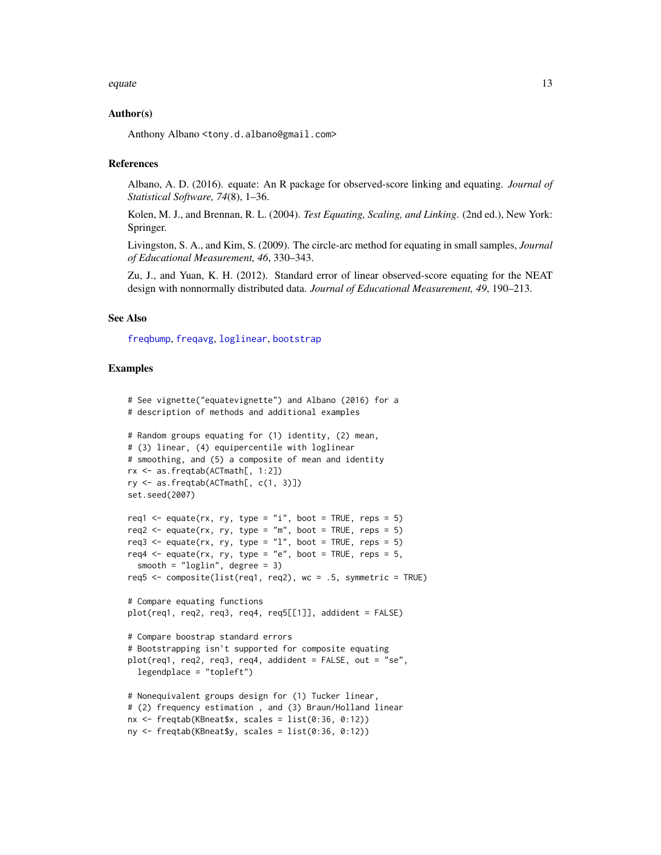#### <span id="page-12-0"></span>equate the contract of the contract of the contract of the contract of the contract of the contract of the contract of the contract of the contract of the contract of the contract of the contract of the contract of the con

#### Author(s)

Anthony Albano <tony.d.albano@gmail.com>

#### **References**

Albano, A. D. (2016). equate: An R package for observed-score linking and equating. *Journal of Statistical Software, 74*(8), 1–36.

Kolen, M. J., and Brennan, R. L. (2004). *Test Equating, Scaling, and Linking*. (2nd ed.), New York: Springer.

Livingston, S. A., and Kim, S. (2009). The circle-arc method for equating in small samples, *Journal of Educational Measurement, 46*, 330–343.

Zu, J., and Yuan, K. H. (2012). Standard error of linear observed-score equating for the NEAT design with nonnormally distributed data. *Journal of Educational Measurement, 49*, 190–213.

#### See Also

[freqbump](#page-24-2), [freqavg](#page-24-2), [loglinear](#page-24-2), [bootstrap](#page-3-1)

#### Examples

```
# See vignette("equatevignette") and Albano (2016) for a
# description of methods and additional examples
# Random groups equating for (1) identity, (2) mean,
# (3) linear, (4) equipercentile with loglinear
# smoothing, and (5) a composite of mean and identity
rx <- as.freqtab(ACTmath[, 1:2])
ry <- as.freqtab(ACTmath[, c(1, 3)])
set.seed(2007)
req1 <- equate(rx, ry, type = "i", boot = TRUE, reps = 5)
req2 <- equate(rx, ry, type = "m", boot = TRUE, reps = 5)
req3 <- equate(rx, ry, type = "1", boot = TRUE, reps = 5)
req4 \leq equate(rx, ry, type = "e", boot = TRUE, reps = 5,
 smooth = "loglin", degree = 3)
req5 <- composite(list(req1, req2), wc = .5, symmetric = TRUE)
# Compare equating functions
plot(req1, req2, req3, req4, req5[[1]], addident = FALSE)
# Compare boostrap standard errors
# Bootstrapping isn't supported for composite equating
plot(req1, req2, req3, req4, addident = FALSE, out = "se",
 legendplace = "topleft")
# Nonequivalent groups design for (1) Tucker linear,
# (2) frequency estimation , and (3) Braun/Holland linear
nx \leftarrow \text{freqtab(KBneat$}, scales = list(0:36, 0:12))ny <- freqtab(KBneat$y, scales = list(0:36, 0:12))
```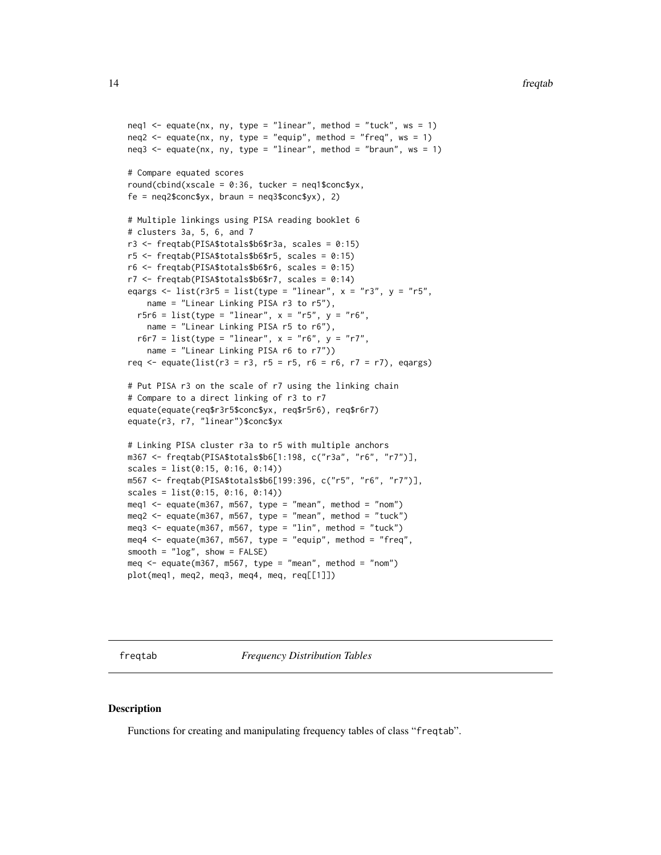```
neq1 \leq equate(nx, ny, type = "linear", method = "tuck", ws = 1)
neq2 \le - equate(nx, ny, type = "equip", method = "freq", ws = 1)
neq3 \leq equate(nx, ny, type = "linear", method = "braun", ws = 1)
# Compare equated scores
round(cbind(xscale = 0:36, tucker = neg1$conc$yx,fe = neq2$conc$yx, brain = neq3$conc$yx), 2)# Multiple linkings using PISA reading booklet 6
# clusters 3a, 5, 6, and 7
r3 <- freqtab(PISA$totals$b6$r3a, scales = 0:15)
r5 <- freqtab(PISA$totals$b6$r5, scales = 0:15)
r6 <- freqtab(PISA$totals$b6$r6, scales = 0:15)
r7 <- freqtab(PISA$totals$b6$r7, scales = 0:14)
eqargs \le list(r3r5 = list(type = "linear", x = "r3", y = "r5",name = "Linear Linking PISA r3 to r5"),
  r5r6 = list(type = "linear", x = "r5", y = "r6",name = "Linear Linking PISA r5 to r6"),
  r6r7 = list(type = "linear", x = "r6", y = "r7",name = "Linear Linking PISA r6 to r7"))
req <- equate(list(r3 = r3, r5 = r5, r6 = r6, r7 = r7), eqargs)
# Put PISA r3 on the scale of r7 using the linking chain
# Compare to a direct linking of r3 to r7
equate(equate(req$r3r5$conc$yx, req$r5r6), req$r6r7)
equate(r3, r7, "linear")$conc$yx
# Linking PISA cluster r3a to r5 with multiple anchors
m367 <- freqtab(PISA$totals$b6[1:198, c("r3a", "r6", "r7")],
scales = list(0:15, 0:16, 0:14))m567 <- freqtab(PISA$totals$b6[199:396, c("r5", "r6", "r7")],
scales = list(0:15, 0:16, 0:14))meq1 \leq - equate(m367, m567, type = "mean", method = "nom")
meq2 \leq equate(m367, m567, type = "mean", method = "tuck")
meq3 \leq - equate(m367, m567, type = "lin", method = "tuck")
meq4 <- equate(m367, m567, type = "equip", method = "freq",
smooth = "log", show = FALSE)meq \leq equate(m367, m567, type = "mean", method = "nom")
plot(meq1, meq2, meq3, meq4, meq, req[[1]])
```
<span id="page-13-1"></span>freqtab *Frequency Distribution Tables*

#### **Description**

Functions for creating and manipulating frequency tables of class "freqtab".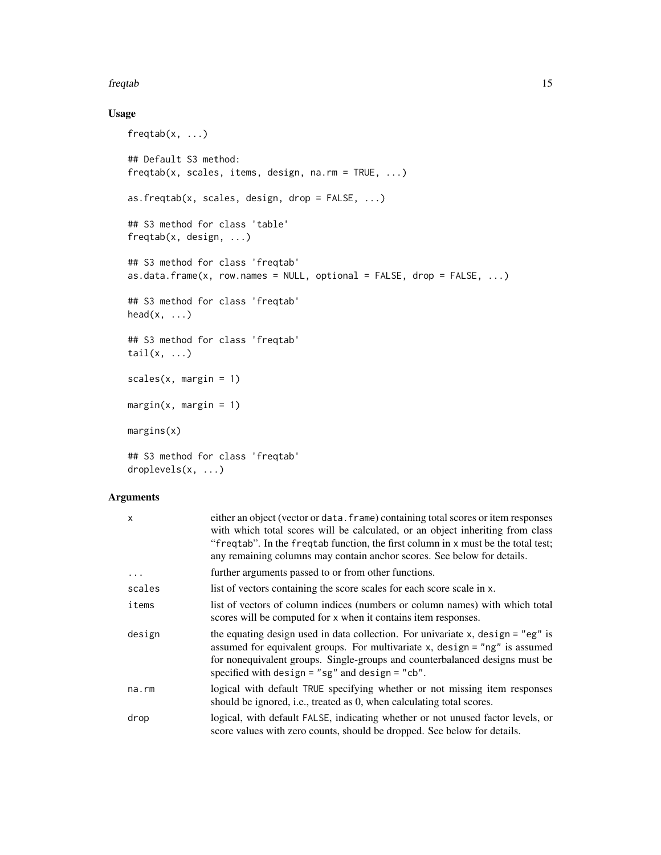#### freqtab 15

#### Usage

```
freqtab(x, ...)## Default S3 method:
freqtab(x, scales, items, design, na.rm = TRUE, ...)
as.freqtab(x, scales, design, drop = FALSE, ...)
## S3 method for class 'table'
freqtab(x, design, ...)
## S3 method for class 'freqtab'
as.data.frame(x, row.names = NULL, optional = FALSE, drop = FALSE, ...)
## S3 method for class 'freqtab'
head(x, \ldots)## S3 method for class 'freqtab'
tail(x, \ldots)scales(x, margin = 1)
margin(x, margin = 1)margins(x)
## S3 method for class 'freqtab'
droplevels(x, ...)
```

| X        | either an object (vector or data. frame) containing total scores or item responses<br>with which total scores will be calculated, or an object inheriting from class<br>"freqtab". In the freqtab function, the first column in x must be the total test;<br>any remaining columns may contain anchor scores. See below for details. |
|----------|--------------------------------------------------------------------------------------------------------------------------------------------------------------------------------------------------------------------------------------------------------------------------------------------------------------------------------------|
| $\cdots$ | further arguments passed to or from other functions.                                                                                                                                                                                                                                                                                 |
| scales   | list of vectors containing the score scales for each score scale in x.                                                                                                                                                                                                                                                               |
| items    | list of vectors of column indices (numbers or column names) with which total<br>scores will be computed for x when it contains item responses.                                                                                                                                                                                       |
| design   | the equating design used in data collection. For univariate $x$ , design = "eg" is<br>assumed for equivalent groups. For multivariate $x$ , design = "ng" is assumed<br>for nonequivalent groups. Single-groups and counterbalanced designs must be<br>specified with design = $"sg"$ and design = $"cb".$                           |
| na.rm    | logical with default TRUE specifying whether or not missing item responses<br>should be ignored, i.e., treated as 0, when calculating total scores.                                                                                                                                                                                  |
| drop     | logical, with default FALSE, indicating whether or not unused factor levels, or<br>score values with zero counts, should be dropped. See below for details.                                                                                                                                                                          |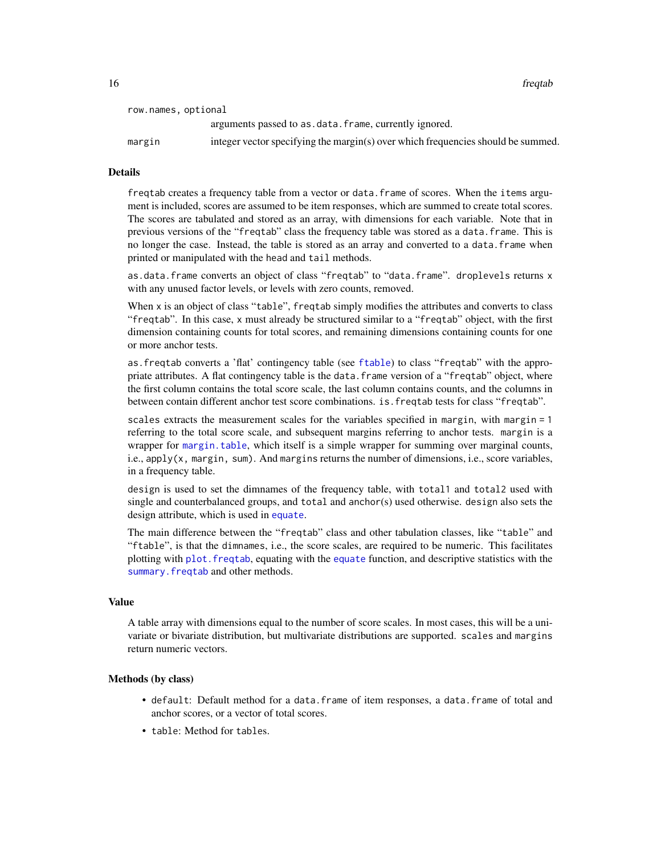<span id="page-15-0"></span>16 frequences and the contract of the contract of the contract of the contract of the contract of the contract of the contract of the contract of the contract of the contract of the contract of the contract of the contract

| row.names, optional |                                                                                  |
|---------------------|----------------------------------------------------------------------------------|
|                     | arguments passed to as data. frame, currently ignored.                           |
| margin              | integer vector specifying the margin(s) over which frequencies should be summed. |

#### **Details**

freqtab creates a frequency table from a vector or data.frame of scores. When the items argument is included, scores are assumed to be item responses, which are summed to create total scores. The scores are tabulated and stored as an array, with dimensions for each variable. Note that in previous versions of the "freqtab" class the frequency table was stored as a data.frame. This is no longer the case. Instead, the table is stored as an array and converted to a data.frame when printed or manipulated with the head and tail methods.

as.data.frame converts an object of class "freqtab" to "data.frame". droplevels returns x with any unused factor levels, or levels with zero counts, removed.

When x is an object of class "table", freqtab simply modifies the attributes and converts to class "freqtab". In this case, x must already be structured similar to a "freqtab" object, with the first dimension containing counts for total scores, and remaining dimensions containing counts for one or more anchor tests.

as.freqtab converts a 'flat' contingency table (see [ftable](#page-0-0)) to class "freqtab" with the appropriate attributes. A flat contingency table is the data.frame version of a "freqtab" object, where the first column contains the total score scale, the last column contains counts, and the columns in between contain different anchor test score combinations. is.freqtab tests for class "freqtab".

scales extracts the measurement scales for the variables specified in margin, with margin = 1 referring to the total score scale, and subsequent margins referring to anchor tests. margin is a wrapper for [margin.table](#page-0-0), which itself is a simple wrapper for summing over marginal counts, i.e.,  $apply(x, margin, sum)$ . And margins returns the number of dimensions, i.e., score variables, in a frequency table.

design is used to set the dimnames of the frequency table, with total1 and total2 used with single and counterbalanced groups, and total and anchor(s) used otherwise. design also sets the design attribute, which is used in [equate](#page-7-1).

The main difference between the "freqtab" class and other tabulation classes, like "table" and "ftable", is that the dimnames, i.e., the score scales, are required to be numeric. This facilitates plotting with [plot.freqtab](#page-23-1), equating with the [equate](#page-7-1) function, and descriptive statistics with the summary. freqtab and other methods.

#### Value

A table array with dimensions equal to the number of score scales. In most cases, this will be a univariate or bivariate distribution, but multivariate distributions are supported. scales and margins return numeric vectors.

#### Methods (by class)

- default: Default method for a data.frame of item responses, a data.frame of total and anchor scores, or a vector of total scores.
- table: Method for tables.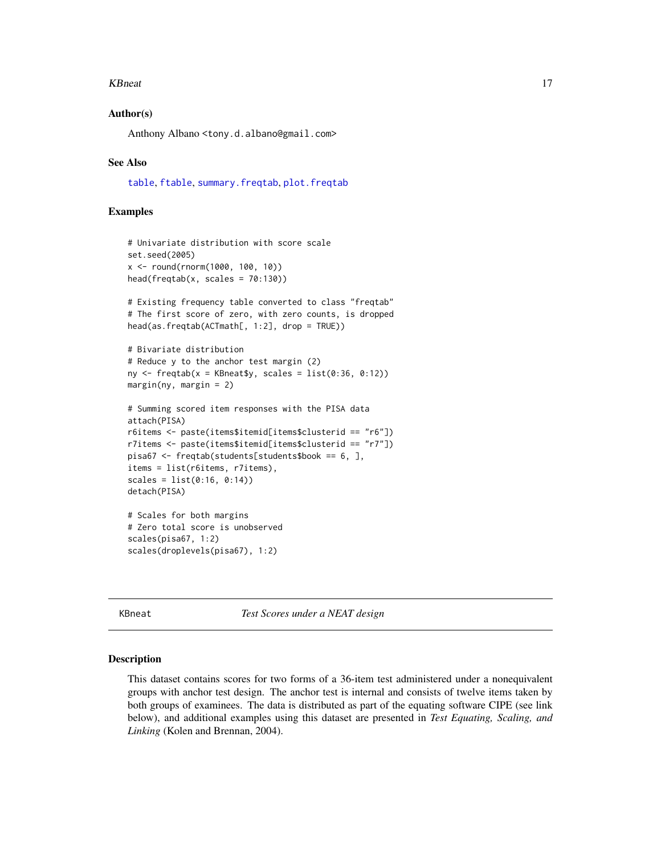#### <span id="page-16-0"></span>KBneat 17

#### Author(s)

Anthony Albano <tony.d.albano@gmail.com>

#### See Also

[table](#page-0-0), [ftable](#page-0-0), [summary.freqtab](#page-32-1), [plot.freqtab](#page-23-1)

#### Examples

```
# Univariate distribution with score scale
set.seed(2005)
x <- round(rnorm(1000, 100, 10))
head(freqtab(x, scales = 70:130))# Existing frequency table converted to class "freqtab"
# The first score of zero, with zero counts, is dropped
head(as.freqtab(ACTmath[, 1:2], drop = TRUE))
# Bivariate distribution
# Reduce y to the anchor test margin (2)
ny \le freqtab(x = KBneat$y, scales = list(0:36, 0:12))
margin(ny, margin = 2)# Summing scored item responses with the PISA data
attach(PISA)
r6items <- paste(items$itemid[items$clusterid == "r6"])
r7items <- paste(items$itemid[items$clusterid == "r7"])
pisa67 <- freqtab(students[students$book == 6, ],
items = list(r6items, r7items),
scales = list(0:16, 0:14))
detach(PISA)
# Scales for both margins
# Zero total score is unobserved
scales(pisa67, 1:2)
scales(droplevels(pisa67), 1:2)
```
KBneat *Test Scores under a NEAT design*

#### Description

This dataset contains scores for two forms of a 36-item test administered under a nonequivalent groups with anchor test design. The anchor test is internal and consists of twelve items taken by both groups of examinees. The data is distributed as part of the equating software CIPE (see link below), and additional examples using this dataset are presented in *Test Equating, Scaling, and Linking* (Kolen and Brennan, 2004).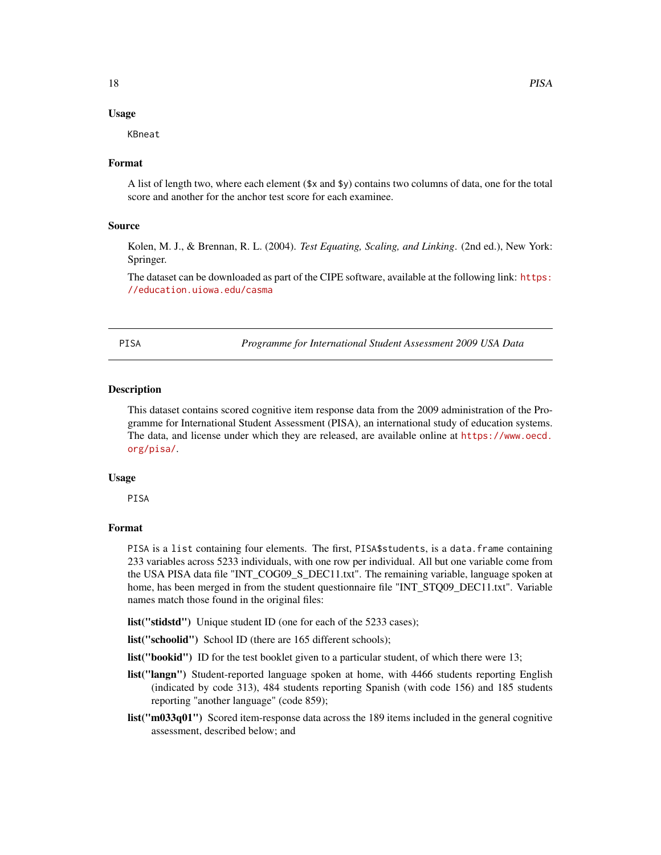#### <span id="page-17-0"></span>Usage

KBneat

#### Format

A list of length two, where each element (\$x and \$y) contains two columns of data, one for the total score and another for the anchor test score for each examinee.

#### Source

Kolen, M. J., & Brennan, R. L. (2004). *Test Equating, Scaling, and Linking*. (2nd ed.), New York: Springer.

The dataset can be downloaded as part of the CIPE software, available at the following link: [https:](https://education.uiowa.edu/casma) [//education.uiowa.edu/casma](https://education.uiowa.edu/casma)

PISA *Programme for International Student Assessment 2009 USA Data*

#### Description

This dataset contains scored cognitive item response data from the 2009 administration of the Programme for International Student Assessment (PISA), an international study of education systems. The data, and license under which they are released, are available online at [https://www.oecd.](https://www.oecd.org/pisa/) [org/pisa/](https://www.oecd.org/pisa/).

#### Usage

PISA

#### Format

PISA is a list containing four elements. The first, PISA\$ students, is a data.frame containing 233 variables across 5233 individuals, with one row per individual. All but one variable come from the USA PISA data file "INT\_COG09\_S\_DEC11.txt". The remaining variable, language spoken at home, has been merged in from the student questionnaire file "INT\_STQ09\_DEC11.txt". Variable names match those found in the original files:

list("stidstd") Unique student ID (one for each of the 5233 cases);

list("schoolid") School ID (there are 165 different schools);

list("bookid") ID for the test booklet given to a particular student, of which there were 13;

- list("langn") Student-reported language spoken at home, with 4466 students reporting English (indicated by code 313), 484 students reporting Spanish (with code 156) and 185 students reporting "another language" (code 859);
- list("m033q01") Scored item-response data across the 189 items included in the general cognitive assessment, described below; and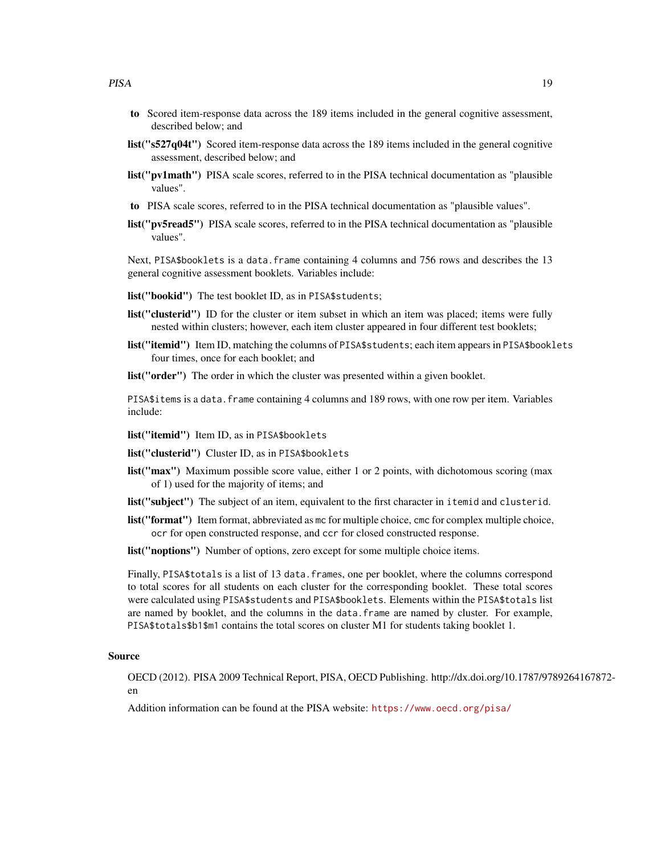- to Scored item-response data across the 189 items included in the general cognitive assessment, described below; and
- list("s527q04t") Scored item-response data across the 189 items included in the general cognitive assessment, described below; and
- list("pv1math") PISA scale scores, referred to in the PISA technical documentation as "plausible values".
- to PISA scale scores, referred to in the PISA technical documentation as "plausible values".
- list("pv5read5") PISA scale scores, referred to in the PISA technical documentation as "plausible values".

Next, PISA\$booklets is a data.frame containing 4 columns and 756 rows and describes the 13 general cognitive assessment booklets. Variables include:

list("bookid") The test booklet ID, as in PISA\$students;

- list("clusterid") ID for the cluster or item subset in which an item was placed; items were fully nested within clusters; however, each item cluster appeared in four different test booklets;
- list("itemid") Item ID, matching the columns of PISA\$students; each item appears in PISA\$booklets four times, once for each booklet; and

**list**("**order**") The order in which the cluster was presented within a given booklet.

PISA\$items is a data.frame containing 4 columns and 189 rows, with one row per item. Variables include:

list("itemid") Item ID, as in PISA\$booklets

list("clusterid") Cluster ID, as in PISA\$booklets

- list("max") Maximum possible score value, either 1 or 2 points, with dichotomous scoring (max of 1) used for the majority of items; and
- list("subject") The subject of an item, equivalent to the first character in itemid and clusterid.
- list("format") Item format, abbreviated as mc for multiple choice, cmc for complex multiple choice, ocr for open constructed response, and ccr for closed constructed response.
- list("noptions") Number of options, zero except for some multiple choice items.

Finally, PISA\$ totals is a list of 13 data. frames, one per booklet, where the columns correspond to total scores for all students on each cluster for the corresponding booklet. These total scores were calculated using PISA\$students and PISA\$booklets. Elements within the PISA\$totals list are named by booklet, and the columns in the data.frame are named by cluster. For example, PISA\$totals\$b1\$m1 contains the total scores on cluster M1 for students taking booklet 1.

#### Source

OECD (2012). PISA 2009 Technical Report, PISA, OECD Publishing. http://dx.doi.org/10.1787/9789264167872 en

Addition information can be found at the PISA website: <https://www.oecd.org/pisa/>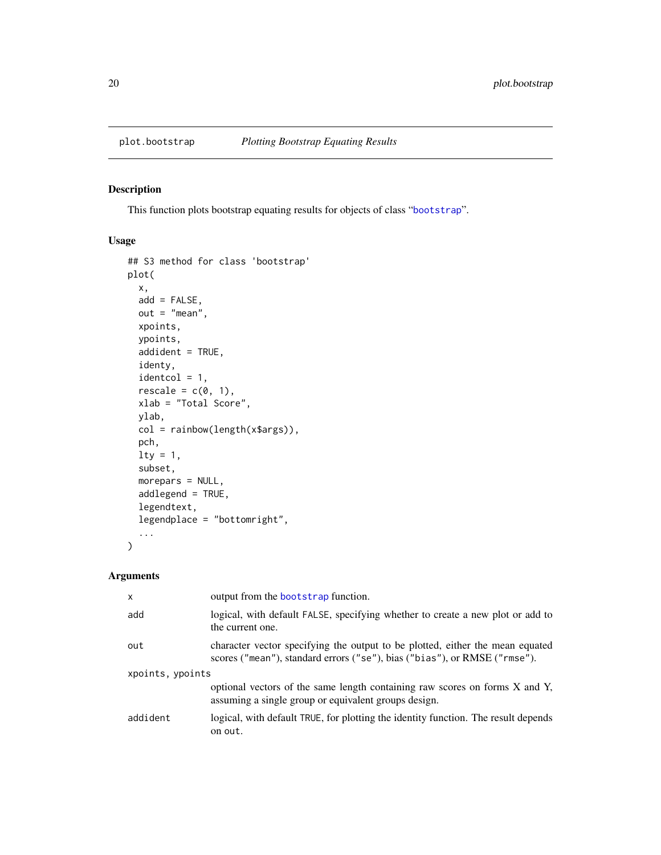<span id="page-19-1"></span><span id="page-19-0"></span>

#### Description

This function plots bootstrap equating results for objects of class "[bootstrap](#page-3-1)".

#### Usage

```
## S3 method for class 'bootstrap'
plot(
  x,
 add = FALSE,out = "mean",
 xpoints,
 ypoints,
  addident = TRUE,
  identy,
  identcol = 1,rescale = c(0, 1),xlab = "Total Score",
 ylab,
  col = rainbow(length(x$args)),
 pch,
 lty = 1,
  subset,
 morepars = NULL,
  addlegend = TRUE,
  legendtext,
  legendplace = "bottomright",
  ...
)
```

| x                | output from the bootstrap function.                                                                                                                        |
|------------------|------------------------------------------------------------------------------------------------------------------------------------------------------------|
| add              | logical, with default FALSE, specifying whether to create a new plot or add to<br>the current one.                                                         |
| out              | character vector specifying the output to be plotted, either the mean equated<br>scores ("mean"), standard errors ("se"), bias ("bias"), or RMSE ("rmse"). |
| xpoints, ypoints |                                                                                                                                                            |
|                  | optional vectors of the same length containing raw scores on forms X and Y,<br>assuming a single group or equivalent groups design.                        |
| addident         | logical, with default TRUE, for plotting the identity function. The result depends<br>on out.                                                              |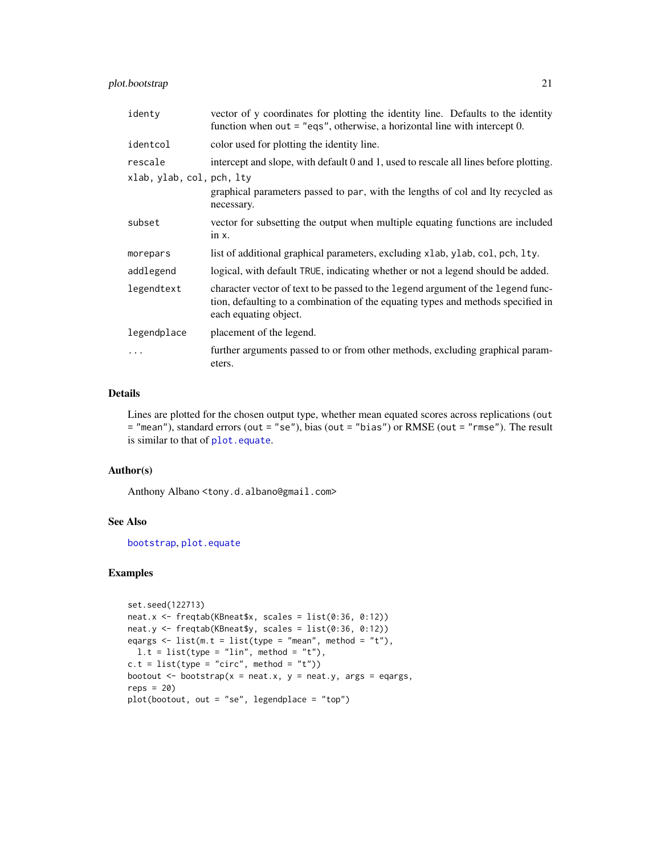#### <span id="page-20-0"></span>plot.bootstrap 21

| identy                               | vector of y coordinates for plotting the identity line. Defaults to the identity<br>function when out $=$ "eqs", otherwise, a horizontal line with intercept 0.                               |
|--------------------------------------|-----------------------------------------------------------------------------------------------------------------------------------------------------------------------------------------------|
| identcol                             | color used for plotting the identity line.                                                                                                                                                    |
| rescale<br>xlab, ylab, col, pch, lty | intercept and slope, with default 0 and 1, used to rescale all lines before plotting.<br>graphical parameters passed to par, with the lengths of col and lty recycled as<br>necessary.        |
| subset                               | vector for subsetting the output when multiple equating functions are included<br>$in x$ .                                                                                                    |
| morepars                             | list of additional graphical parameters, excluding x1ab, y1ab, co1, pch, 1ty.                                                                                                                 |
| addlegend                            | logical, with default TRUE, indicating whether or not a legend should be added.                                                                                                               |
| legendtext                           | character vector of text to be passed to the legend argument of the legend func-<br>tion, defaulting to a combination of the equating types and methods specified in<br>each equating object. |
| legendplace                          | placement of the legend.                                                                                                                                                                      |
| .                                    | further arguments passed to or from other methods, excluding graphical param-<br>eters.                                                                                                       |

#### Details

Lines are plotted for the chosen output type, whether mean equated scores across replications (out = "mean"), standard errors (out = "se"), bias (out = "bias") or RMSE (out = "rmse"). The result is similar to that of [plot.equate](#page-21-1).

#### Author(s)

Anthony Albano <tony.d.albano@gmail.com>

#### See Also

[bootstrap](#page-3-1), [plot.equate](#page-21-1)

#### Examples

```
set.seed(122713)
neat.x <- freqtab(KBneat$x, scales = list(0:36, 0:12))
neat.y <- freqtab(KBneat$y, scales = list(0:36, 0:12))
eqargs \le list(m.t = list(type = "mean", method = "t"),
 l.t = list(type = "lin", method = "t"),c.t = list(type = "circ", method = "t"))bootout \leq bootstrap(x = neat.x, y = neat.y, args = eqargs,
reps = 20)
plot(bootout, out = "se", legendplace = "top")
```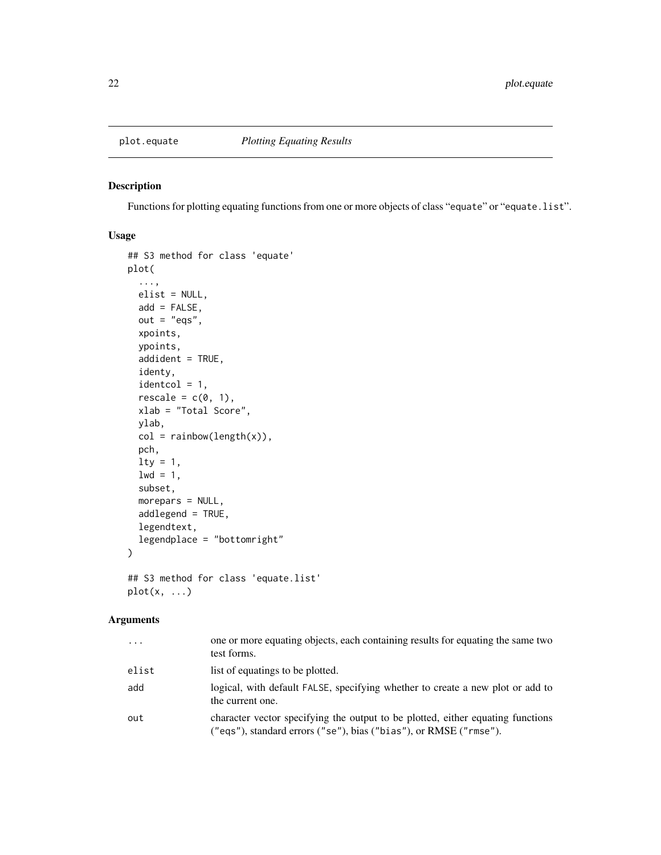<span id="page-21-1"></span><span id="page-21-0"></span>

#### Description

Functions for plotting equating functions from one or more objects of class "equate" or "equate.list".

#### Usage

```
## S3 method for class 'equate'
plot(
  ...,
 elist = NULL,
 add = FALSE,out = "eqs",xpoints,
 ypoints,
  addident = TRUE,identy,
  identcol = 1,rescale = c(0, 1),xlab = "Total Score",
 ylab,
 col = rainbow(length(x)),pch,
 \frac{1}{y} = 1,1wd = 1,
  subset,
 morepars = NULL,
  addlegend = TRUE,
  legendtext,
  legendplace = "bottomright"
)
## S3 method for class 'equate.list'
```

```
plot(x, \ldots)
```

| $\ddots$ . | one or more equating objects, each containing results for equating the same two<br>test forms.                                                       |
|------------|------------------------------------------------------------------------------------------------------------------------------------------------------|
| elist      | list of equatings to be plotted.                                                                                                                     |
| add        | logical, with default FALSE, specifying whether to create a new plot or add to<br>the current one.                                                   |
| out        | character vector specifying the output to be plotted, either equating functions<br>("eqs"), standard errors ("se"), bias ("bias"), or RMSE ("rmse"). |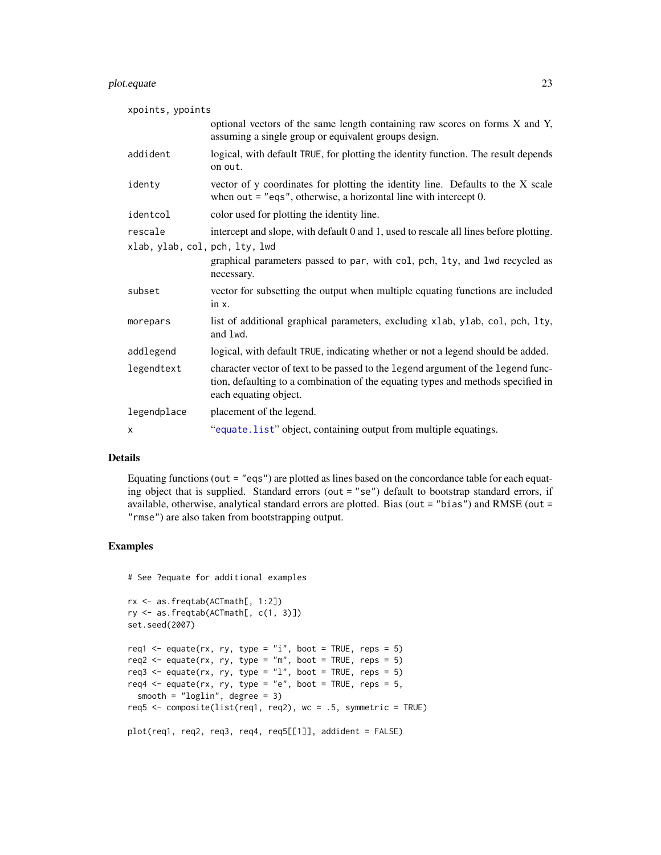#### <span id="page-22-0"></span>plot.equate 23

| xpoints, ypoints               |                                                                                                                                                                                               |
|--------------------------------|-----------------------------------------------------------------------------------------------------------------------------------------------------------------------------------------------|
|                                | optional vectors of the same length containing raw scores on forms X and Y,<br>assuming a single group or equivalent groups design.                                                           |
| addident                       | logical, with default TRUE, for plotting the identity function. The result depends<br>on out.                                                                                                 |
| identy                         | vector of y coordinates for plotting the identity line. Defaults to the X scale<br>when out $=$ "eqs", otherwise, a horizontal line with intercept 0.                                         |
| identcol                       | color used for plotting the identity line.                                                                                                                                                    |
| rescale                        | intercept and slope, with default 0 and 1, used to rescale all lines before plotting.                                                                                                         |
| xlab, ylab, col, pch, lty, lwd | graphical parameters passed to par, with col, pch, lty, and lwd recycled as<br>necessary.                                                                                                     |
| subset                         | vector for subsetting the output when multiple equating functions are included<br>$in x$ .                                                                                                    |
| morepars                       | list of additional graphical parameters, excluding xlab, ylab, col, pch, lty,<br>and lwd.                                                                                                     |
| addlegend                      | logical, with default TRUE, indicating whether or not a legend should be added.                                                                                                               |
| legendtext                     | character vector of text to be passed to the legend argument of the legend func-<br>tion, defaulting to a combination of the equating types and methods specified in<br>each equating object. |
| legendplace                    | placement of the legend.                                                                                                                                                                      |
| х                              | "equate.list" object, containing output from multiple equatings.                                                                                                                              |

#### Details

Equating functions (out  $=$  "eqs") are plotted as lines based on the concordance table for each equating object that is supplied. Standard errors (out = "se") default to bootstrap standard errors, if available, otherwise, analytical standard errors are plotted. Bias (out = "bias") and RMSE (out = "rmse") are also taken from bootstrapping output.

#### Examples

```
# See ?equate for additional examples
```

```
rx <- as.freqtab(ACTmath[, 1:2])
ry <- as.freqtab(ACTmath[, c(1, 3)])
set.seed(2007)
req1 <- equate(rx, ry, type = "i", boot = TRUE, reps = 5)
req2 <- equate(rx, ry, type = "m", boot = TRUE, reps = 5)
req3 <- equate(rx, ry, type = "1", boot = TRUE, reps = 5)
req4 <- equate(rx, ry, type = "e", boot = TRUE, reps = 5,
  smooth = "loglin", degree = 3)
req5 <- composite(list(req1, req2), wc = .5, symmetric = TRUE)
plot(req1, req2, req3, req4, req5[[1]], addident = FALSE)
```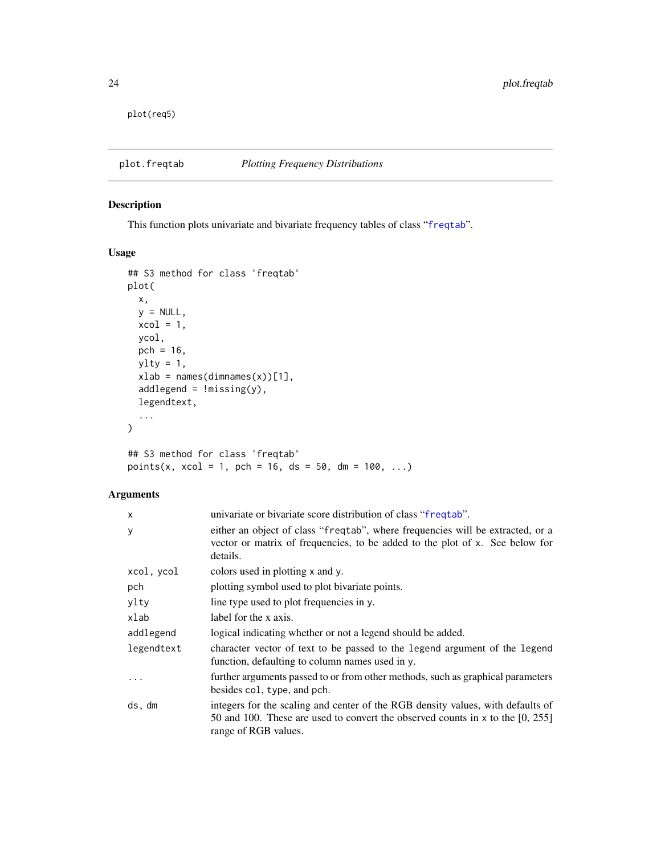<span id="page-23-0"></span>plot(req5)

<span id="page-23-1"></span>plot.freqtab *Plotting Frequency Distributions*

#### Description

This function plots univariate and bivariate frequency tables of class "[freqtab](#page-13-1)".

#### Usage

```
## S3 method for class 'freqtab'
plot(
  x,
 y = NULL,xcol = 1,
 ycol,
 pch = 16,
 ylty = 1,
 xlab = names(dimnames(x))[1],
 addlegend = !missing(y),
 legendtext,
  ...
\mathcal{L}## S3 method for class 'freqtab'
points(x, xcol = 1, pch = 16, ds = 50, dm = 100, ...)
```

| univariate or bivariate score distribution of class "frequale".                                                                                                                             |
|---------------------------------------------------------------------------------------------------------------------------------------------------------------------------------------------|
| either an object of class "freqtab", where frequencies will be extracted, or a<br>vector or matrix of frequencies, to be added to the plot of x. See below for<br>details.                  |
| colors used in plotting x and y.                                                                                                                                                            |
| plotting symbol used to plot bivariate points.                                                                                                                                              |
| line type used to plot frequencies in y.                                                                                                                                                    |
| label for the x axis.                                                                                                                                                                       |
| logical indicating whether or not a legend should be added.                                                                                                                                 |
| character vector of text to be passed to the legend argument of the legend<br>function, defaulting to column names used in y.                                                               |
| further arguments passed to or from other methods, such as graphical parameters<br>besides col, type, and pch.                                                                              |
| integers for the scaling and center of the RGB density values, with defaults of<br>50 and 100. These are used to convert the observed counts in $x$ to the [0, 255]<br>range of RGB values. |
|                                                                                                                                                                                             |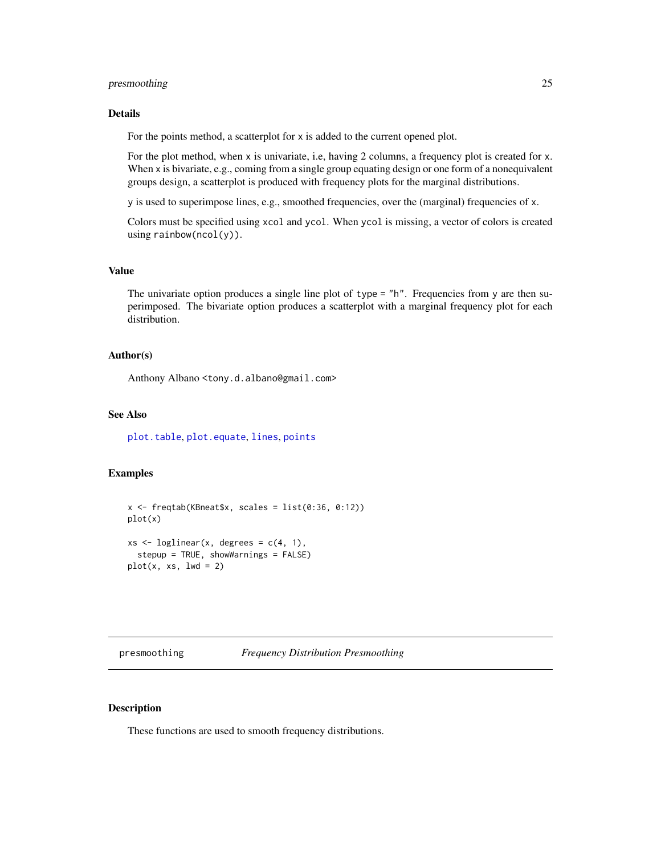#### <span id="page-24-0"></span>presmoothing 25

#### Details

For the points method, a scatterplot for x is added to the current opened plot.

For the plot method, when x is univariate, i.e, having 2 columns, a frequency plot is created for x. When x is bivariate, e.g., coming from a single group equating design or one form of a nonequivalent groups design, a scatterplot is produced with frequency plots for the marginal distributions.

y is used to superimpose lines, e.g., smoothed frequencies, over the (marginal) frequencies of x.

Colors must be specified using xcol and ycol. When ycol is missing, a vector of colors is created using rainbow(ncol(y)).

#### Value

The univariate option produces a single line plot of type = "h". Frequencies from y are then superimposed. The bivariate option produces a scatterplot with a marginal frequency plot for each distribution.

#### Author(s)

Anthony Albano <tony.d.albano@gmail.com>

#### See Also

[plot.table](#page-0-0), [plot.equate](#page-21-1), [lines](#page-0-0), [points](#page-0-0)

#### Examples

```
x \le freqtab(KBneat$x, scales = list(0:36, 0:12))
plot(x)
xs \leftarrow loglinear(x, degrees = c(4, 1),
  stepup = TRUE, showWarnings = FALSE)
plot(x, xs, lwd = 2)
```
<span id="page-24-1"></span>

#### <span id="page-24-2"></span>Description

These functions are used to smooth frequency distributions.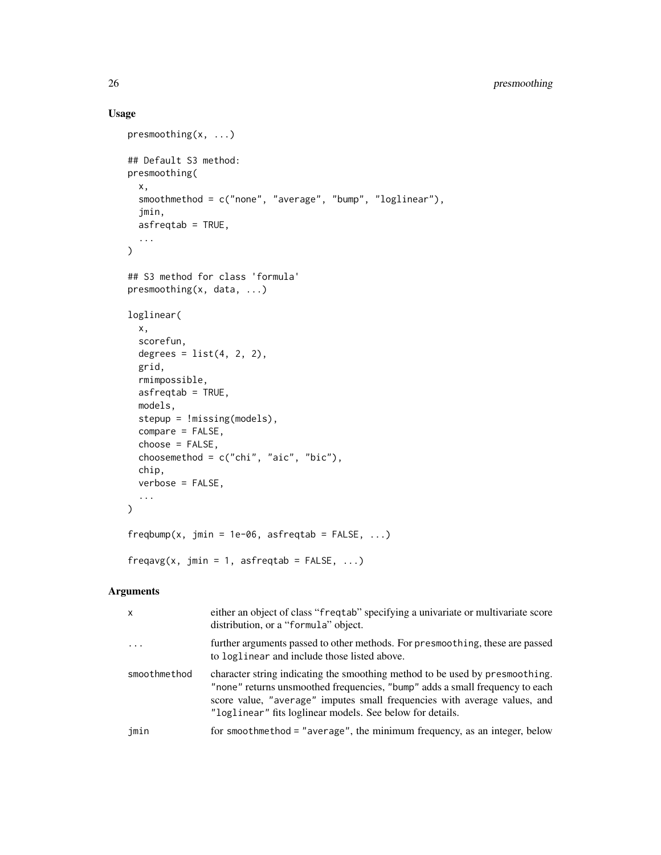### Usage

```
presmoothing(x, ...)
## Default S3 method:
presmoothing(
 x,
  smoothmethod = c("none", "average", "bump", "loglinear"),
 jmin,
 asfreqtab = TRUE,
  ...
\mathcal{L}## S3 method for class 'formula'
presmoothing(x, data, ...)
loglinear(
 x,
  scorefun,
 degrees = list(4, 2, 2),
  grid,
 rmimpossible,
 asfreqtab = TRUE,
 models,
 stepup = !missing(models),
 compare = FALSE,
  choose = FALSE,
 choosemethod = c("chi", "aic", "bic"),chip,
 verbose = FALSE,
  ...
)
freqbump(x, jmin = 1e-06, asfreqtab = FALSE, ...)
freqavg(x, jmin = 1, asfreqtab = FALSE, ...)
```

| X            | either an object of class "freqtab" specifying a univariate or multivariate score<br>distribution, or a "formula" object.                                                                                                                                                                              |
|--------------|--------------------------------------------------------------------------------------------------------------------------------------------------------------------------------------------------------------------------------------------------------------------------------------------------------|
| $\cdot$      | further arguments passed to other methods. For presmoothing, these are passed<br>to loglinear and include those listed above.                                                                                                                                                                          |
| smoothmethod | character string indicating the smoothing method to be used by presmoothing.<br>"none" returns unsmoothed frequencies, "bump" adds a small frequency to each<br>score value, "average" imputes small frequencies with average values, and<br>"loglinear" fits loglinear models. See below for details. |
| jmin         | for smoothmethod = "average", the minimum frequency, as an integer, below                                                                                                                                                                                                                              |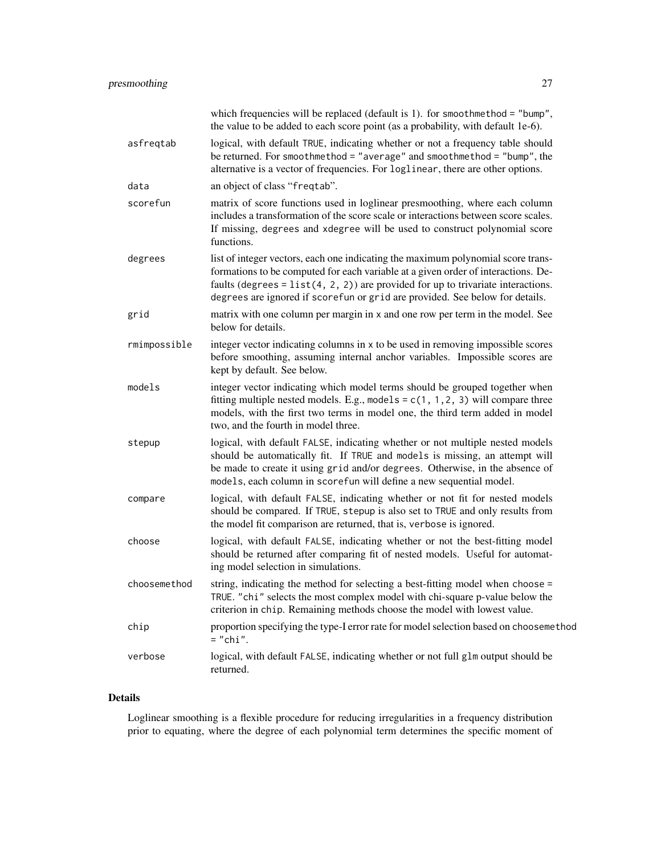|              | which frequencies will be replaced (default is 1). for smoothmethod = "bump",<br>the value to be added to each score point (as a probability, with default 1e-6).                                                                                                                                                                            |
|--------------|----------------------------------------------------------------------------------------------------------------------------------------------------------------------------------------------------------------------------------------------------------------------------------------------------------------------------------------------|
| asfreqtab    | logical, with default TRUE, indicating whether or not a frequency table should<br>be returned. For smoothmethod = "average" and smoothmethod = "bump", the<br>alternative is a vector of frequencies. For loglinear, there are other options.                                                                                                |
| data         | an object of class "freqtab".                                                                                                                                                                                                                                                                                                                |
| scorefun     | matrix of score functions used in loglinear presmoothing, where each column<br>includes a transformation of the score scale or interactions between score scales.<br>If missing, degrees and xdegree will be used to construct polynomial score<br>functions.                                                                                |
| degrees      | list of integer vectors, each one indicating the maximum polynomial score trans-<br>formations to be computed for each variable at a given order of interactions. De-<br>faults (degrees = $list(4, 2, 2)$ ) are provided for up to trivariate interactions.<br>degrees are ignored if scorefun or grid are provided. See below for details. |
| grid         | matrix with one column per margin in x and one row per term in the model. See<br>below for details.                                                                                                                                                                                                                                          |
| rmimpossible | integer vector indicating columns in x to be used in removing impossible scores<br>before smoothing, assuming internal anchor variables. Impossible scores are<br>kept by default. See below.                                                                                                                                                |
| models       | integer vector indicating which model terms should be grouped together when<br>fitting multiple nested models. E.g., models = $c(1, 1, 2, 3)$ will compare three<br>models, with the first two terms in model one, the third term added in model<br>two, and the fourth in model three.                                                      |
| stepup       | logical, with default FALSE, indicating whether or not multiple nested models<br>should be automatically fit. If TRUE and models is missing, an attempt will<br>be made to create it using grid and/or degrees. Otherwise, in the absence of<br>models, each column in scorefun will define a new sequential model.                          |
| compare      | logical, with default FALSE, indicating whether or not fit for nested models<br>should be compared. If TRUE, stepup is also set to TRUE and only results from<br>the model fit comparison are returned, that is, verbose is ignored.                                                                                                         |
| choose       | logical, with default FALSE, indicating whether or not the best-fitting model<br>should be returned after comparing fit of nested models. Useful for automat-<br>ing model selection in simulations.                                                                                                                                         |
| choosemethod | string, indicating the method for selecting a best-fitting model when choose =<br>TRUE. "chi" selects the most complex model with chi-square p-value below the<br>criterion in chip. Remaining methods choose the model with lowest value.                                                                                                   |
| chip         | proportion specifying the type-I error rate for model selection based on choosemethod<br>$="math>'chi$                                                                                                                                                                                                                                       |
| verbose      | logical, with default FALSE, indicating whether or not full glm output should be<br>returned.                                                                                                                                                                                                                                                |

#### Details

Loglinear smoothing is a flexible procedure for reducing irregularities in a frequency distribution prior to equating, where the degree of each polynomial term determines the specific moment of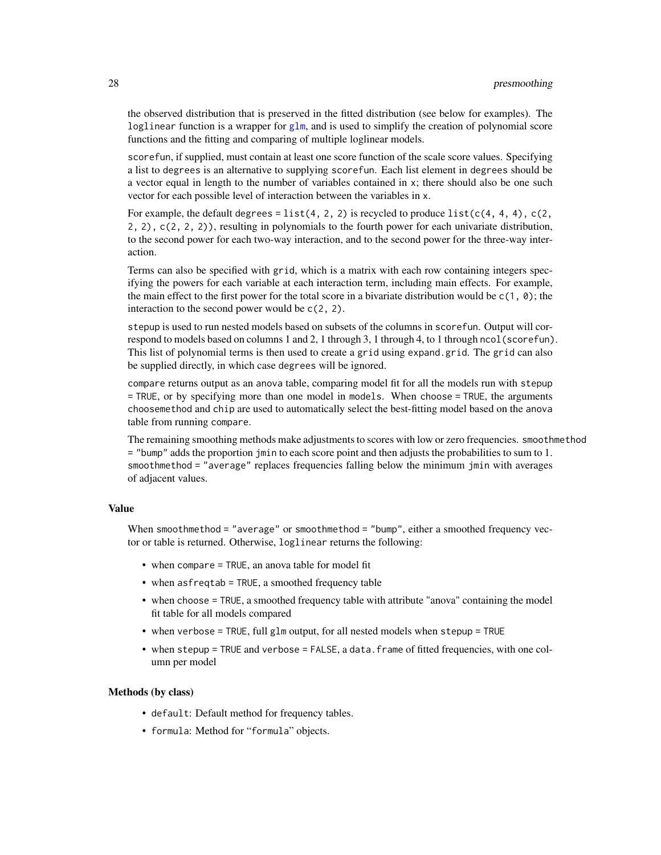the observed distribution that is preserved in the fitted distribution (see below for examples). The loglinear function is a wrapper for [glm](#page-0-0), and is used to simplify the creation of polynomial score functions and the fitting and comparing of multiple loglinear models.

scorefun, if supplied, must contain at least one score function of the scale score values. Specifying a list to degrees is an alternative to supplying scorefun. Each list element in degrees should be a vector equal in length to the number of variables contained in x; there should also be one such vector for each possible level of interaction between the variables in x.

For example, the default degrees = list(4, 2, 2) is recycled to produce list( $c(4, 4, 4)$ ,  $c(2, 4)$ 2, 2), c(2, 2, 2)), resulting in polynomials to the fourth power for each univariate distribution, to the second power for each two-way interaction, and to the second power for the three-way interaction.

Terms can also be specified with grid, which is a matrix with each row containing integers specifying the powers for each variable at each interaction term, including main effects. For example, the main effect to the first power for the total score in a bivariate distribution would be c(1, 0); the interaction to the second power would be c(2, 2).

stepup is used to run nested models based on subsets of the columns in scorefun. Output will correspond to models based on columns 1 and 2, 1 through 3, 1 through 4, to 1 through ncol(scorefun). This list of polynomial terms is then used to create a grid using expand.grid. The grid can also be supplied directly, in which case degrees will be ignored.

compare returns output as an anova table, comparing model fit for all the models run with stepup = TRUE, or by specifying more than one model in models. When choose = TRUE, the arguments choosemethod and chip are used to automatically select the best-fitting model based on the anova table from running compare.

The remaining smoothing methods make adjustments to scores with low or zero frequencies. smoothmethod = "bump" adds the proportion jmin to each score point and then adjusts the probabilities to sum to 1. smoothmethod = "average" replaces frequencies falling below the minimum jmin with averages of adjacent values.

#### Value

When smoothmethod = "average" or smoothmethod = "bump", either a smoothed frequency vector or table is returned. Otherwise, loglinear returns the following:

- when compare = TRUE, an anova table for model fit
- when asfreqtab = TRUE, a smoothed frequency table
- when choose = TRUE, a smoothed frequency table with attribute "anova" containing the model fit table for all models compared
- when verbose = TRUE, full glm output, for all nested models when stepup = TRUE
- when stepup = TRUE and verbose = FALSE, a data. frame of fitted frequencies, with one column per model

#### Methods (by class)

- default: Default method for frequency tables.
- formula: Method for "formula" objects.

<span id="page-27-0"></span>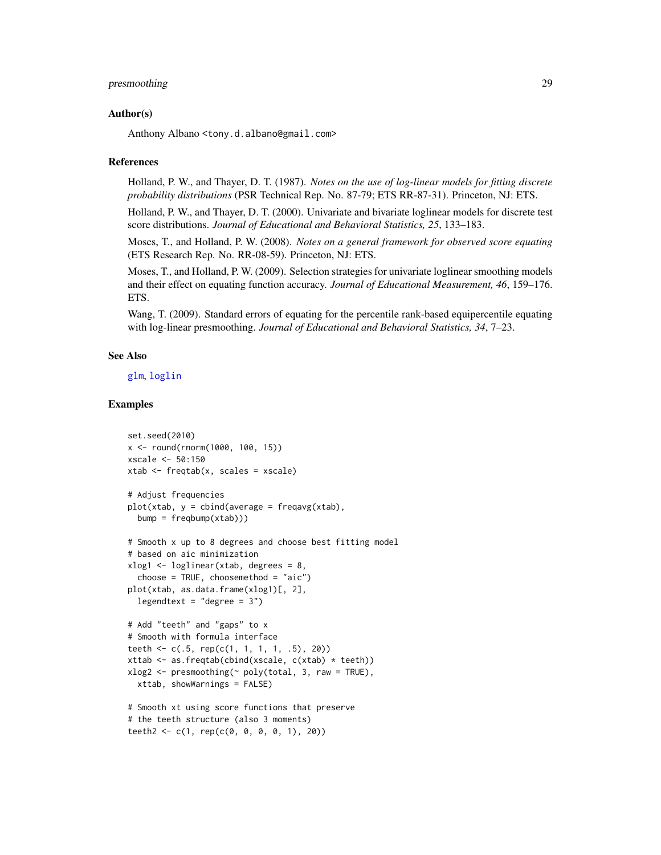#### <span id="page-28-0"></span>presmoothing 29

#### Author(s)

Anthony Albano <tony.d.albano@gmail.com>

#### References

Holland, P. W., and Thayer, D. T. (1987). *Notes on the use of log-linear models for fitting discrete probability distributions* (PSR Technical Rep. No. 87-79; ETS RR-87-31). Princeton, NJ: ETS.

Holland, P. W., and Thayer, D. T. (2000). Univariate and bivariate loglinear models for discrete test score distributions. *Journal of Educational and Behavioral Statistics, 25*, 133–183.

Moses, T., and Holland, P. W. (2008). *Notes on a general framework for observed score equating* (ETS Research Rep. No. RR-08-59). Princeton, NJ: ETS.

Moses, T., and Holland, P. W. (2009). Selection strategies for univariate loglinear smoothing models and their effect on equating function accuracy. *Journal of Educational Measurement, 46*, 159–176. ETS.

Wang, T. (2009). Standard errors of equating for the percentile rank-based equipercentile equating with log-linear presmoothing. *Journal of Educational and Behavioral Statistics, 34*, 7–23.

#### See Also

[glm](#page-0-0), [loglin](#page-0-0)

#### Examples

```
set.seed(2010)
x <- round(rnorm(1000, 100, 15))
xscale <- 50:150
xtab <- freqtab(x, scales = xscale)
# Adjust frequencies
plot(xtab, y = cbind(average = frequency(xtab)),bump = freqbump(xtab))# Smooth x up to 8 degrees and choose best fitting model
# based on aic minimization
xlog1 <- loglinear(xtab, degrees = 8,
  choose = TRUE, choosemethod = "aic")
plot(xtab, as.data.frame(xlog1)[, 2],
  legendtext = "degree = 3")# Add "teeth" and "gaps" to x
# Smooth with formula interface
teeth <- c(.5, rep(c(1, 1, 1, 1, .5), 20))
xttab \leq as. freqtab(cbind(xscale, c(xtab) \star teeth))
xlog2 < - presmoothing(\sim poly(total, 3, raw = TRUE),xttab, showWarnings = FALSE)
# Smooth xt using score functions that preserve
# the teeth structure (also 3 moments)
teeth2 <- c(1, rep(c(0, 0, 0, 0, 1), 20))
```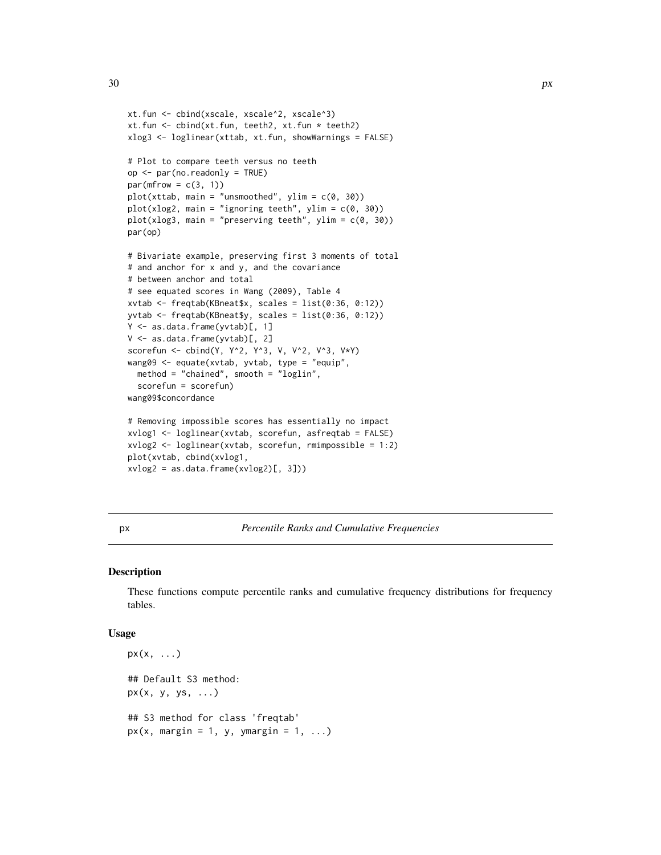```
xt.fun <- cbind(xscale, xscale^2, xscale^3)
xt.fun <- cbind(xt.fun, teeth2, xt.fun * teeth2)
xlog3 <- loglinear(xttab, xt.fun, showWarnings = FALSE)
# Plot to compare teeth versus no teeth
op <- par(no.readonly = TRUE)
par(mfrow = c(3, 1))plot(xttab, main = "unsmoothed", ylim = c(0, 30))plot(xlog2, main = "ignoring teeth", ylim = c(0, 30))
plot(xlog3, main = "preserving teeth", ylim = c(0, 30))
par(op)
# Bivariate example, preserving first 3 moments of total
# and anchor for x and y, and the covariance
# between anchor and total
# see equated scores in Wang (2009), Table 4
xvtab <- freqtab(KBneat$x, scales = list(0:36, 0:12))
yvtab <- freqtab(KBneat$y, scales = list(0:36, 0:12))
Y <- as.data.frame(yvtab)[, 1]
V <- as.data.frame(yvtab)[, 2]
scorefun <- cbind(Y, Y^2, Y^3, V, V^2, V^3, V*Y)
wang09 <- equate(xvtab, yvtab, type = "equip",
  method = "chained", smooth = "loglin",
  scorefun = scorefun)
wang09$concordance
# Removing impossible scores has essentially no impact
xvlog1 <- loglinear(xvtab, scorefun, asfreqtab = FALSE)
xvlog2 <- loglinear(xvtab, scorefun, rmimpossible = 1:2)
plot(xvtab, cbind(xvlog1,
```

```
xvlog2 = as.data frame(xvlog2)[, 3])
```
px *Percentile Ranks and Cumulative Frequencies*

#### Description

These functions compute percentile ranks and cumulative frequency distributions for frequency tables.

#### Usage

```
px(x, \ldots)## Default S3 method:
px(x, y, ys, \ldots)## S3 method for class 'freqtab'
px(x, margin = 1, y, y, margin = 1, ...)
```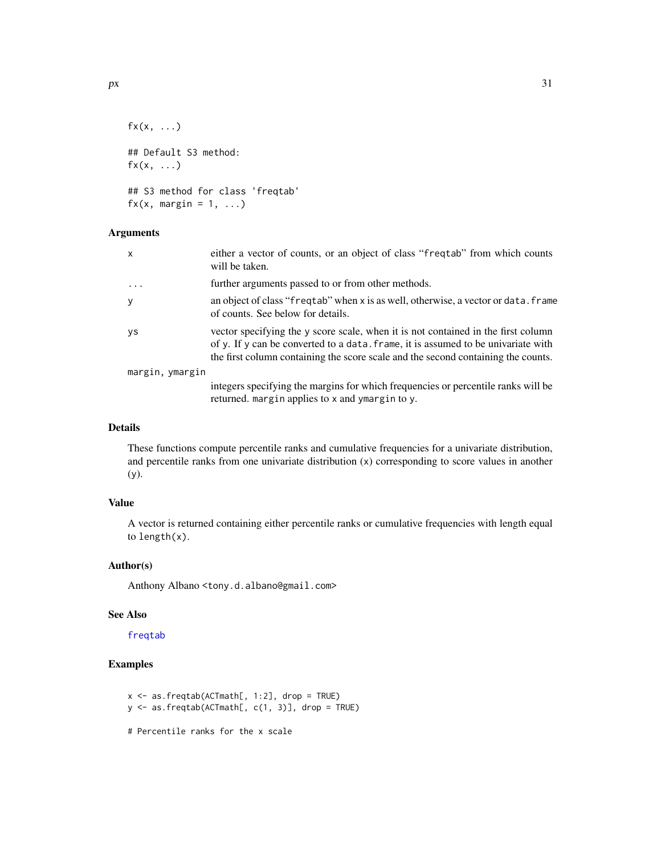```
f(x, \ldots)## Default S3 method:
f(x, \ldots)## S3 method for class 'freqtab'
f(x, \text{margin} = 1, \ldots)
```
#### Arguments

| x               | either a vector of counts, or an object of class "frequale" from which counts<br>will be taken.                                                                                                                                                             |
|-----------------|-------------------------------------------------------------------------------------------------------------------------------------------------------------------------------------------------------------------------------------------------------------|
| $\ddots$        | further arguments passed to or from other methods.                                                                                                                                                                                                          |
| У               | an object of class "freqtab" when x is as well, otherwise, a vector or data. frame<br>of counts. See below for details.                                                                                                                                     |
| <b>VS</b>       | vector specifying the y score scale, when it is not contained in the first column<br>of y. If y can be converted to a data. frame, it is assumed to be univariate with<br>the first column containing the score scale and the second containing the counts. |
| margin, ymargin |                                                                                                                                                                                                                                                             |
|                 | integers specifying the margins for which frequencies or percentile ranks will be<br>returned. margin applies to x and ymargin to y.                                                                                                                        |

#### Details

These functions compute percentile ranks and cumulative frequencies for a univariate distribution, and percentile ranks from one univariate distribution (x) corresponding to score values in another (y).

#### Value

A vector is returned containing either percentile ranks or cumulative frequencies with length equal to length(x).

#### Author(s)

Anthony Albano <tony.d.albano@gmail.com>

#### See Also

[freqtab](#page-13-1)

#### Examples

 $x \le -$  as.freqtab(ACTmath[, 1:2], drop = TRUE) y <- as.freqtab(ACTmath[, c(1, 3)], drop = TRUE)

# Percentile ranks for the x scale

<span id="page-30-0"></span>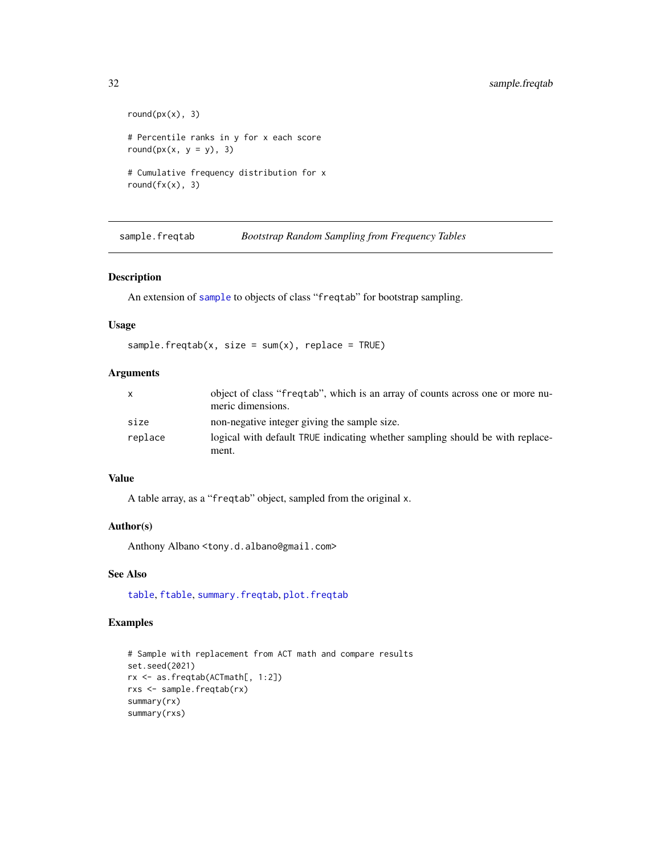```
round(px(x), 3)# Percentile ranks in y for x each score
round(px(x, y = y), 3)
# Cumulative frequency distribution for x
round(fx(x), 3)
```
sample.freqtab *Bootstrap Random Sampling from Frequency Tables*

#### Description

An extension of [sample](#page-0-0) to objects of class "freqtab" for bootstrap sampling.

#### Usage

```
sample.freqtab(x, size = sum(x), replace = TRUE)
```
### Arguments

| $\mathsf{x}$ | object of class "frequal", which is an array of counts across one or more nu-<br>meric dimensions. |
|--------------|----------------------------------------------------------------------------------------------------|
| size         | non-negative integer giving the sample size.                                                       |
| replace      | logical with default TRUE indicating whether sampling should be with replace-                      |
|              | ment.                                                                                              |

#### Value

A table array, as a "freqtab" object, sampled from the original x.

#### Author(s)

Anthony Albano <tony.d.albano@gmail.com>

#### See Also

[table](#page-0-0), [ftable](#page-0-0), [summary.freqtab](#page-32-1), [plot.freqtab](#page-23-1)

#### Examples

```
# Sample with replacement from ACT math and compare results
set.seed(2021)
rx <- as.freqtab(ACTmath[, 1:2])
rxs <- sample.freqtab(rx)
summary(rx)
summary(rxs)
```
<span id="page-31-0"></span>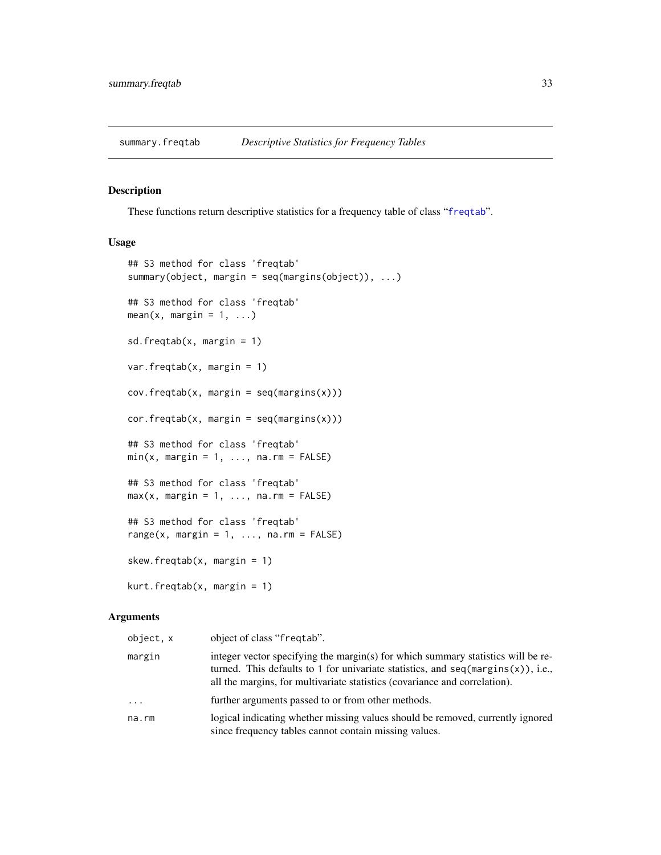<span id="page-32-1"></span><span id="page-32-0"></span>

#### Description

These functions return descriptive statistics for a frequency table of class "[freqtab](#page-13-1)".

#### Usage

```
## S3 method for class 'freqtab'
summary(object, margin = seq(margins(object)), ...)
## S3 method for class 'freqtab'
mean(x, margin = 1, ...)sd.freqtab(x, margin = 1)
var.freqtab(x, margin = 1)cov.freqtab(x, margin = seq(margins(x)))cor.freqtab(x, margin = seq(margins(x)))## S3 method for class 'freqtab'
min(x, margin = 1, ..., na.rm = FALSE)## S3 method for class 'freqtab'
max(x, margin = 1, ..., na.rm = FALSE)## S3 method for class 'freqtab'
range(x, margin = 1, \ldots, na.rm = FALSE)
skew.freqtab(x, margin = 1)
kurt.freqtab(x, margin = 1)
```

| object, x | object of class "freqtab".                                                                                                                                                                                                                                  |
|-----------|-------------------------------------------------------------------------------------------------------------------------------------------------------------------------------------------------------------------------------------------------------------|
| margin    | integer vector specifying the margin(s) for which summary statistics will be re-<br>turned. This defaults to 1 for univariate statistics, and $seq(\text{margin}(x))$ , i.e.,<br>all the margins, for multivariate statistics (covariance and correlation). |
| $\cdots$  | further arguments passed to or from other methods.                                                                                                                                                                                                          |
| na.rm     | logical indicating whether missing values should be removed, currently ignored<br>since frequency tables cannot contain missing values.                                                                                                                     |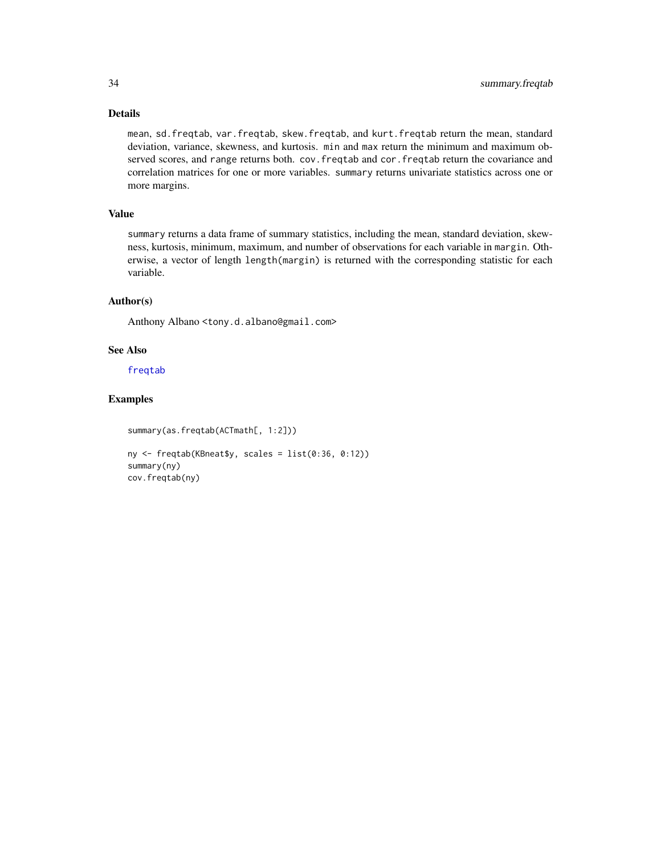#### Details

mean, sd.freqtab, var.freqtab, skew.freqtab, and kurt.freqtab return the mean, standard deviation, variance, skewness, and kurtosis. min and max return the minimum and maximum observed scores, and range returns both. cov.freqtab and cor.freqtab return the covariance and correlation matrices for one or more variables. summary returns univariate statistics across one or more margins.

#### Value

summary returns a data frame of summary statistics, including the mean, standard deviation, skewness, kurtosis, minimum, maximum, and number of observations for each variable in margin. Otherwise, a vector of length length(margin) is returned with the corresponding statistic for each variable.

#### Author(s)

Anthony Albano <tony.d.albano@gmail.com>

#### See Also

[freqtab](#page-13-1)

### Examples

```
summary(as.freqtab(ACTmath[, 1:2]))
```

```
ny <- freqtab(KBneat$y, scales = list(0:36, 0:12))
summary(ny)
cov.freqtab(ny)
```
<span id="page-33-0"></span>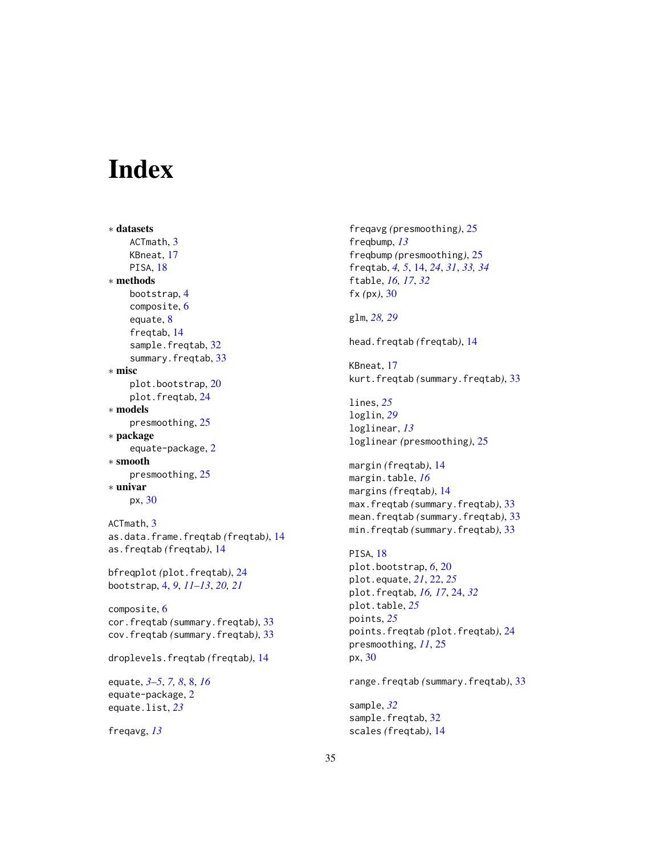# <span id="page-34-0"></span>**Index**

```
∗ datasets
    ACTmath, 3
    KBneat, 17
    PISA, 18
∗ methods
    bootstrap, 4
    composite, 6
    equate, 8
    freqtab, 14
    sample.freqtab, 32
    summary.freqtab, 33
∗ misc
    plot.bootstrap, 20
    plot.freqtab, 24
∗ models
    presmoothing, 25
∗ package
    equate-package, 2
∗ smooth
    presmoothing, 25
∗ univar
    px, 30
ACTmath, 3
as.data.frame.freqtab (freqtab), 14
as.freqtab (freqtab), 14
bfreqplot (plot.freqtab), 24
bootstrap, 4, 9, 11–13, 20, 21
composite, 6
cor.freqtab (summary.freqtab), 33
cov.freqtab (summary.freqtab), 33
droplevels.freqtab (freqtab), 14
equate, 3–5, 7, 8, 8, 16
equate-package, 2
equate.list, 23
```
freqavg, *[13](#page-12-0)*

```
freqavg (presmoothing), 25
freqbump, 13
freqbump (presmoothing), 25
freqtab, 4, 5, 14, 24, 31, 33, 34
ftable, 16, 17, 32
fx (px), 30
```

```
glm, 28, 29
```

```
head.freqtab (freqtab), 14
```
KBneat, [17](#page-16-0) kurt.freqtab *(*summary.freqtab*)*, [33](#page-32-0)

lines, *[25](#page-24-0)* loglin, *[29](#page-28-0)* loglinear, *[13](#page-12-0)* loglinear *(*presmoothing*)*, [25](#page-24-0)

margin *(*freqtab*)*, [14](#page-13-0) margin.table, *[16](#page-15-0)* margins *(*freqtab*)*, [14](#page-13-0) max.freqtab *(*summary.freqtab*)*, [33](#page-32-0) mean.freqtab *(*summary.freqtab*)*, [33](#page-32-0) min.freqtab *(*summary.freqtab*)*, [33](#page-32-0)

```
PISA, 18
plot.bootstrap, 6, 20
plot.equate, 21, 22, 25
plot.freqtab, 16, 17, 24, 32
plot.table, 25
points, 25
points.freqtab (plot.freqtab), 24
presmoothing, 11, 25
px, 30
```
range.freqtab *(*summary.freqtab*)*, [33](#page-32-0)

sample, *[32](#page-31-0)* sample.freqtab, [32](#page-31-0) scales *(*freqtab*)*, [14](#page-13-0)